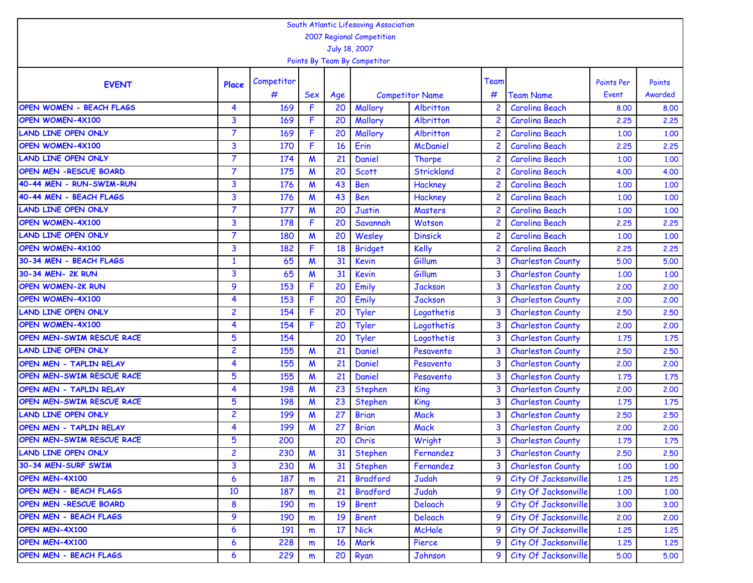| South Atlantic Lifesaving Association<br>2007 Regional Competition |                  |            |                           |                 |                              |                        |      |                          |                   |         |  |  |  |
|--------------------------------------------------------------------|------------------|------------|---------------------------|-----------------|------------------------------|------------------------|------|--------------------------|-------------------|---------|--|--|--|
|                                                                    |                  |            |                           |                 |                              |                        |      |                          |                   |         |  |  |  |
|                                                                    |                  |            |                           |                 | July 18, 2007                |                        |      |                          |                   |         |  |  |  |
|                                                                    |                  |            |                           |                 | Points By Team By Competitor |                        |      |                          |                   |         |  |  |  |
| <b>EVENT</b>                                                       | Place            | Competitor |                           |                 |                              |                        | Team |                          | <b>Points Per</b> | Points  |  |  |  |
|                                                                    |                  | #          | <b>Sex</b>                | Age             |                              | <b>Competitor Name</b> | #    | <b>Team Name</b>         | Event             | Awarded |  |  |  |
| <b>OPEN WOMEN - BEACH FLAGS</b>                                    | 4                | 169        | F                         | 20              | Mallory                      | Albritton              |      | <b>Carolina Beach</b>    | 8,00              | 8.00    |  |  |  |
| OPEN WOMEN-4X100                                                   | 3                | 169        | F                         | 20              | Mallory                      | Albritton              |      | <b>Carolina Beach</b>    | 2.25              | 2.25    |  |  |  |
| <b>LAND LINE OPEN ONLY</b>                                         | $\overline{7}$   | 169        | F                         | 20              | Mallory                      | Albritton              | 2    | <b>Carolina Beach</b>    | 1.00              | 1.00    |  |  |  |
| OPEN WOMEN-4X100                                                   | 3                | 170        | F.                        | 16              | Erin                         | <b>McDaniel</b>        | 2    | <b>Carolina Beach</b>    | 2.25              | 2.25    |  |  |  |
| <b>LAND LINE OPEN ONLY</b>                                         | $\overline{7}$   | 174        | $\boldsymbol{M}$          | 21              | Daniel                       | <b>Thorpe</b>          | 2    | <b>Carolina Beach</b>    | 1,00              | 1.00    |  |  |  |
| <b>OPEN MEN -RESCUE BOARD</b>                                      | $\overline{7}$   | 175        | $\boldsymbol{M}$          | 20              | <b>Scott</b>                 | <b>Strickland</b>      |      | <b>Carolina Beach</b>    | 4.00              | 4.00    |  |  |  |
| 40-44 MEN - RUN-SWIM-RUN                                           | 3                | 176        | M                         | 43              | <b>Ben</b>                   | Hackney                | 2    | <b>Carolina Beach</b>    | 1.00              | 1.00    |  |  |  |
| 40-44 MEN - BEACH FLAGS                                            | 3                | 176        | M                         | 43              | <b>Ben</b>                   | Hackney                |      | <b>Carolina Beach</b>    | 1.00              | 1.00    |  |  |  |
| <b>LAND LINE OPEN ONLY</b>                                         | $\overline{7}$   | 177        | M                         | 20              | <b>Justin</b>                | Masters                |      | <b>Carolina Beach</b>    | 1,00              | 1.00    |  |  |  |
| <b>OPEN WOMEN-4X100</b>                                            | 3                | 178        | F                         | 20              | Savannah                     | Watson                 |      | <b>Carolina Beach</b>    | 2.25              | 2.25    |  |  |  |
| <b>LAND LINE OPEN ONLY</b>                                         | $\overline{7}$   | 180        | M                         | 20              | Wesley                       | <b>Dinsick</b>         | 2    | <b>Carolina Beach</b>    | 1.00              | 1.00    |  |  |  |
| <b>OPEN WOMEN-4X100</b>                                            | 3                | 182        | F.                        | 18              | <b>Bridget</b>               | Kelly                  | 2    | <b>Carolina Beach</b>    | 2.25              | 2.25    |  |  |  |
| 30-34 MEN - BEACH FLAGS                                            | $\mathbf{1}$     | 65         | M                         | 31              | <b>Kevin</b>                 | Gillum                 | 3    | <b>Charleston County</b> | 5.00              | 5.00    |  |  |  |
| 30-34 MEN- 2K RUN                                                  | 3                | 65         | $\boldsymbol{M}$          | 31              | <b>Kevin</b>                 | Gillum                 | 3    | <b>Charleston County</b> | 1,00              | 1.00    |  |  |  |
| <b>OPEN WOMEN-2K RUN</b>                                           | 9                | 153        | F                         | 20              | Emily                        | <b>Jackson</b>         | 3    | <b>Charleston County</b> | 2,00              | 2.00    |  |  |  |
| OPEN WOMEN-4X100                                                   | 4                | 153        | F                         | 20              | Emily                        | <b>Jackson</b>         | 3    | <b>Charleston County</b> | 2.00              | 2.00    |  |  |  |
| <b>LAND LINE OPEN ONLY</b>                                         | 2                | 154        | F                         | 20              | Tyler                        | Logothetis             | 3    | <b>Charleston County</b> | 2.50              | 2.50    |  |  |  |
| OPEN WOMEN-4X100                                                   | 4                | 154        | F                         | 20              | Tyler                        | Logothetis             | 3    | <b>Charleston County</b> | 2.00              | 2.00    |  |  |  |
| OPEN MEN-SWIM RESCUE RACE                                          | $5\phantom{1}$   | 154        |                           | 20              | Tyler                        | Logothetis             | 3    | <b>Charleston County</b> | 1.75              | 1.75    |  |  |  |
| <b>LAND LINE OPEN ONLY</b>                                         | 2                | 155        | M                         | $\overline{21}$ | Daniel                       | Pesavento              | 3    | <b>Charleston County</b> | 2.50              | 2.50    |  |  |  |
| OPEN MEN - TAPLIN RELAY                                            | 4                | 155        | $\boldsymbol{M}$          | 21              | Daniel                       | Pesavento              | 3    | <b>Charleston County</b> | 2.00              | 2.00    |  |  |  |
| OPEN MEN-SWIM RESCUE RACE                                          | 5                | 155        | M                         | 21              | Daniel                       | Pesavento              | 3    | <b>Charleston County</b> | 1.75              | 1.75    |  |  |  |
| OPEN MEN - TAPLIN RELAY                                            | 4                | 198        | M                         | 23              | <b>Stephen</b>               | King                   |      | <b>Charleston County</b> | 2.00              | 2.00    |  |  |  |
| OPEN MEN-SWIM RESCUE RACE                                          | 5                | 198        | M                         | 23              | <b>Stephen</b>               | King                   | 3    | <b>Charleston County</b> | 1.75              | 1.75    |  |  |  |
| <b>LAND LINE OPEN ONLY</b>                                         | 2                | 199        | M                         | 27              | <b>Brian</b>                 | <b>Mack</b>            | 3    | <b>Charleston County</b> | 2.50              | 2.50    |  |  |  |
| OPEN MEN - TAPLIN RELAY                                            | 4                | 199        | M                         | 27              | <b>Brian</b>                 | <b>Mack</b>            | 3    | <b>Charleston County</b> | 2,00              | 2,00    |  |  |  |
| <b>OPEN MEN-SWIM RESCUE RACE</b>                                   | 5                | 200        |                           | 20              | Chris                        | Wright                 | 3    | <b>Charleston County</b> | 1.75              | 1.75    |  |  |  |
| <b>LAND LINE OPEN ONLY</b>                                         | $\overline{2}$   | 230        | M                         | 31              | <b>Stephen</b>               | Fernandez              | 3    | <b>Charleston County</b> | 2.50              | 2,50    |  |  |  |
| 30-34 MEN-SURF SWIM                                                | 3                | 230        | $\boldsymbol{\mathsf{M}}$ | 31              | <b>Stephen</b>               | Fernandez              | 3    | <b>Charleston County</b> | 1.00              | 1.00    |  |  |  |
| OPEN MEN-4X100                                                     | $\boldsymbol{6}$ | 187        | m                         | 21              | <b>Bradford</b>              | Judah                  | 9    | City Of Jacksonville     | 1.25              | 1.25    |  |  |  |
| OPEN MEN - BEACH FLAGS                                             | 10               | 187        | m                         | 21              | <b>Bradford</b>              | Judah                  | 9    | City Of Jacksonville     | 1.00              | 1.00    |  |  |  |
| <b>OPEN MEN -RESCUE BOARD</b>                                      | 8                | 190        | m                         | 19              | <b>Brent</b>                 | Deloach                | 9    | City Of Jacksonville     | 3.00              | 3.00    |  |  |  |
| OPEN MEN - BEACH FLAGS                                             | 9                | 190        | m                         | 19              | <b>Brent</b>                 | Deloach                | 9    | City Of Jacksonville     | 2,00              | 2,00    |  |  |  |
| OPEN MEN-4X100                                                     | 6                | 191        | m                         | 17              | <b>Nick</b>                  | McHale                 | 9    | City Of Jacksonville     | 1.25              | 1.25    |  |  |  |
| OPEN MEN-4X100                                                     | $\boldsymbol{6}$ | 228        | m                         | <b>16</b>       | Mark                         | Pierce                 | 9    | City Of Jacksonville     | 1.25              | 1.25    |  |  |  |
| OPEN MEN - BEACH FLAGS                                             | 6                | 229        | m                         | 20              | Ryan                         | Johnson                | 9    | City Of Jacksonville     | 5.00              | 5.00    |  |  |  |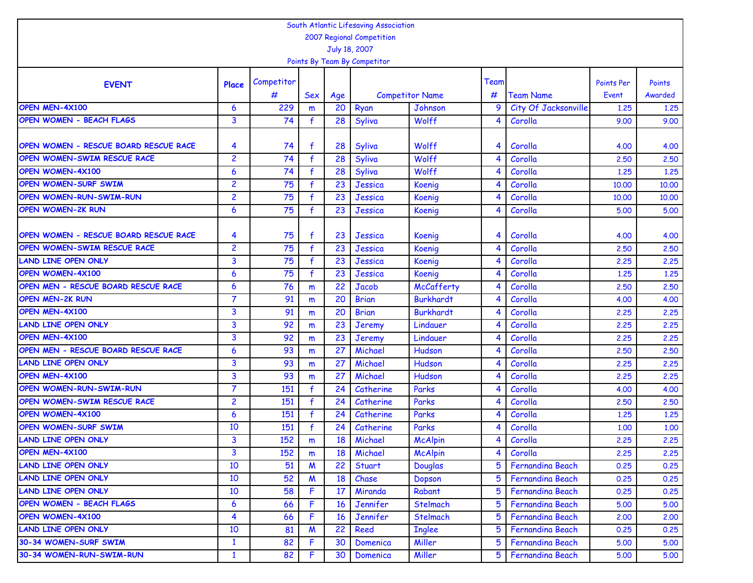|                                       |                         |            |                  |                 | South Atlantic Lifesaving Association |                                   |      |                         |                            |         |
|---------------------------------------|-------------------------|------------|------------------|-----------------|---------------------------------------|-----------------------------------|------|-------------------------|----------------------------|---------|
|                                       |                         |            |                  |                 | 2007 Regional Competition             |                                   |      |                         |                            |         |
|                                       |                         |            |                  |                 | July 18, 2007                         |                                   |      |                         |                            |         |
|                                       |                         |            |                  |                 | Points By Team By Competitor          |                                   |      |                         |                            |         |
|                                       |                         | Competitor |                  |                 |                                       |                                   | Team |                         |                            | Points  |
| <b>EVENT</b>                          | Place                   | #          |                  |                 |                                       |                                   | #    | <b>Team Name</b>        | <b>Points Per</b><br>Event | Awarded |
| OPEN MEN-4X100                        | 6                       | 229        | <b>Sex</b>       | Age<br>20       |                                       | <b>Competitor Name</b><br>Johnson | 9    | City Of Jacksonville    |                            |         |
| OPEN WOMEN - BEACH FLAGS              |                         |            | m                |                 | Ryan                                  |                                   |      |                         | 1.25                       | 1.25    |
|                                       | 3                       | 74         | $\mathbf{f}$     | 28              | Syliva                                | Wolff                             |      | Corolla                 | 9.00                       | 9.00    |
| OPEN WOMEN - RESCUE BOARD RESCUE RACE | 4                       | 74         |                  | 28              | Syliva                                | Wolff                             | 4    | Corolla                 | 4.00                       | 4.00    |
| OPEN WOMEN-SWIM RESCUE RACE           | $\overline{2}$          | 74         | $\mathbf{f}$     | 28              | Syliva                                | Wolff                             | 4    | Corolla                 | 2.50                       | 2.50    |
| <b>OPEN WOMEN-4X100</b>               | 6                       | 74         | f                | 28              | Syliva                                | Wolff                             | 4    | Corolla                 | 1.25                       | 1.25    |
| <b>OPEN WOMEN-SURF SWIM</b>           | $\overline{c}$          | 75         | $\mathbf{f}$     | 23              | Jessica                               | Koenig                            | 4    | Corolla                 | 10,00                      | 10.00   |
| <b>OPEN WOMEN-RUN-SWIM-RUN</b>        | $\overline{c}$          | 75         | f                | 23              | Jessica                               | Koenig                            | ⊿    | Corolla                 | 10,00                      | 10,00   |
| <b>OPEN WOMEN-2K RUN</b>              | 6                       | 75         | $\mathbf{f}$     | 23              | Jessica                               | Koenig                            |      | Corolla                 | 5.00                       | 5.00    |
|                                       |                         |            |                  |                 |                                       |                                   |      |                         |                            |         |
| OPEN WOMEN - RESCUE BOARD RESCUE RACE | 4                       | 75         | f                | 23              | Jessica                               | Koenig                            | 4    | Corolla                 | 4.00                       | 4.00    |
| OPEN WOMEN-SWIM RESCUE RACE           | $\overline{c}$          | 75         | $\mathbf{f}$     | 23              | Jessica                               | Koenig                            | ◢    | Corolla                 | 2.50                       | 2.50    |
| <b>LAND LINE OPEN ONLY</b>            | 3                       | 75         | $\mathbf{f}$     | 23              | Jessica                               | Koenig                            | 4    | Corolla                 | 2,25                       | 2.25    |
| <b>OPEN WOMEN-4X100</b>               | 6                       | 75         | $\mathbf{f}$     | 23              | Jessica                               | <b>Koenig</b>                     | 4    | Corolla                 | 1.25                       | 1.25    |
| OPEN MEN - RESCUE BOARD RESCUE RACE   | 6                       | 76         | m                | 22              | <b>Jacob</b>                          | McCafferty                        |      | Corolla                 | 2.50                       | 2.50    |
| <b>OPEN MEN-2K RUN</b>                | $\overline{7}$          | 91         | m                | 20              | <b>Brian</b>                          | <b>Burkhardt</b>                  |      | Corolla                 | 4.00                       | 4.00    |
| OPEN MEN-4X100                        | 3                       | 91         | m                | 20              | <b>Brian</b>                          | <b>Burkhardt</b>                  | 4    | Corolla                 | 2.25                       | 2.25    |
| <b>LAND LINE OPEN ONLY</b>            | 3                       | 92         | m                | 23              | Jeremy                                | Lindauer                          |      | Corolla                 | 2.25                       | 2.25    |
| OPEN MEN-4X100                        | 3                       | 92         | m                | 23              | <b>Jeremy</b>                         | Lindauer                          |      | Corolla                 | 2.25                       | 2,25    |
| OPEN MEN - RESCUE BOARD RESCUE RACE   | 6                       | 93         | m                | 27              | Michael                               | Hudson                            |      | Corolla                 | 2.50                       | 2.50    |
| <b>LAND LINE OPEN ONLY</b>            | 3                       | 93         | m                | 27              | Michael                               | Hudson                            | 4    | Corolla                 | 2.25                       | 2.25    |
| OPEN MEN-4X100                        | 3                       | 93         | m                | $\overline{27}$ | Michael                               | Hudson                            | 4    | Corolla                 | 2.25                       | 2.25    |
| <b>OPEN WOMEN-RUN-SWIM-RUN</b>        | $\overline{7}$          | 151        | $\mathbf{f}$     | 24              | Catherine                             | Parks                             | 4    | Corolla                 | 4.00                       | 4.00    |
| OPEN WOMEN-SWIM RESCUE RACE           | $\overline{c}$          | 151        | $\mathbf{f}$     | 24              | Catherine                             | Parks                             |      | Corolla                 | 2.50                       | 2.50    |
| <b>OPEN WOMEN-4X100</b>               | 6                       | 151        | f                | 24              | Catherine                             | Parks                             | 4    | Corolla                 | 1.25                       | 1.25    |
| <b>OPEN WOMEN-SURF SWIM</b>           | 10                      | 151        |                  | 24              | Catherine                             | Parks                             | 4    | Corolla                 | 1.00                       | 1.00    |
| <b>LAND LINE OPEN ONLY</b>            | 3                       | 152        | m                | 18              | Michael                               | <b>McAlpin</b>                    | 4    | Corolla                 | 2.25                       | 2.25    |
| OPEN MEN-4X100                        | $\overline{\mathbf{3}}$ | 152        | m                | 18              | Michael                               | <b>McAlpin</b>                    | 4    | Corolla                 | 2.25                       | 2,25    |
| <b>LAND LINE OPEN ONLY</b>            | 10                      | 51         | M                | 22              | Stuart                                | <b>Douglas</b>                    | 5    | <b>Fernandina Beach</b> | 0.25                       | 0.25    |
| <b>LAND LINE OPEN ONLY</b>            | 10                      | 52         | $\boldsymbol{M}$ | 18              | Chase                                 | Dopson                            | 5    | <b>Fernandina Beach</b> | 0.25                       | 0.25    |
| <b>LAND LINE OPEN ONLY</b>            | 10                      | 58         | F                | 17              | Miranda                               | Rabant                            | 5    | Fernandina Beach        | 0.25                       | 0.25    |
| OPEN WOMEN - BEACH FLAGS              | 6                       | 66         | F                | 16              | Jennifer                              | Stelmach                          | 5    | Fernandina Beach        | 5.00                       | 5.00    |
| <b>OPEN WOMEN-4X100</b>               | $\overline{4}$          | 66         | F                | 16              | Jennifer                              | Stelmach                          | 5    | Fernandina Beach        | 2.00                       | 2,00    |
| <b>LAND LINE OPEN ONLY</b>            | 10                      | 81         | $\boldsymbol{M}$ | 22              | Reed                                  | <b>Inglee</b>                     | 5    | Fernandina Beach        | 0.25                       | 0.25    |
| 30-34 WOMEN-SURF SWIM                 | $\mathbf{1}$            | 82         | F                | 30              | Domenica                              | Miller                            | 5    | <b>Fernandina Beach</b> | 5.00                       | 5.00    |
| 30-34 WOMEN-RUN-SWIM-RUN              | $\mathbf{1}$            | 82         | F                | 30              | Domenica                              | Miller                            | 5    | Fernandina Beach        | 5.00                       | 5.00    |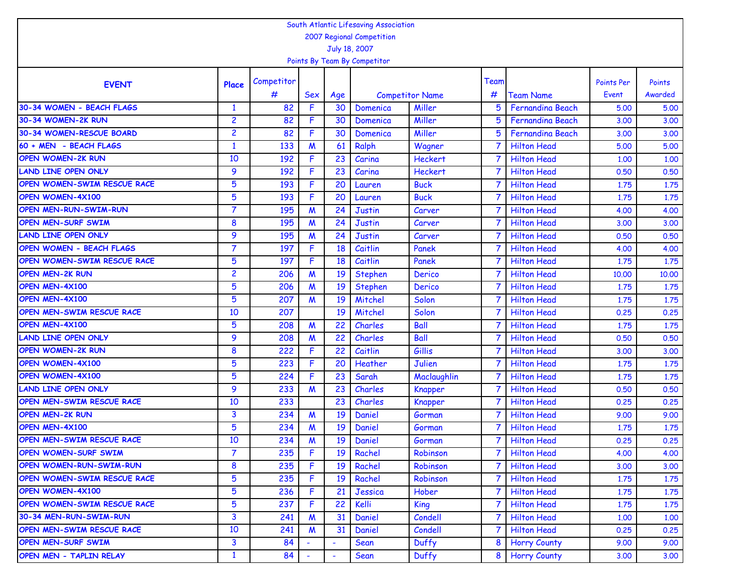| South Atlantic Lifesaving Association |                                            |            |                  |                |                              |                        |      |                         |                   |         |  |  |  |
|---------------------------------------|--------------------------------------------|------------|------------------|----------------|------------------------------|------------------------|------|-------------------------|-------------------|---------|--|--|--|
|                                       | 2007 Regional Competition<br>July 18, 2007 |            |                  |                |                              |                        |      |                         |                   |         |  |  |  |
|                                       |                                            |            |                  |                |                              |                        |      |                         |                   |         |  |  |  |
|                                       |                                            |            |                  |                | Points By Team By Competitor |                        |      |                         |                   |         |  |  |  |
|                                       |                                            | Competitor |                  |                |                              |                        | Team |                         | <b>Points Per</b> | Points  |  |  |  |
| <b>EVENT</b>                          | Place                                      | #          | Sex              | Age            |                              | <b>Competitor Name</b> | #    | <b>Team Name</b>        | Event             | Awarded |  |  |  |
| 30-34 WOMEN - BEACH FLAGS             | $\mathbf{1}$                               | 82         | F                | 30             | Domenica                     | Miller                 |      | <b>Fernandina Beach</b> | 5.00              | 5.00    |  |  |  |
| 30-34 WOMEN-2K RUN                    | $\overline{c}$                             | 82         | F                | 30             | Domenica                     | Miller                 |      | <b>Fernandina Beach</b> | 3,00              | 3.00    |  |  |  |
| 30-34 WOMEN-RESCUE BOARD              | $\overline{c}$                             | 82         | F.               | 30             | Domenica                     | Miller                 | 5    | <b>Fernandina Beach</b> | 3,00              | 3.00    |  |  |  |
| 60 + MEN - BEACH FLAGS                | $\mathbf{1}$                               | 133        | M                | 61             | Ralph                        | Wagner                 |      | <b>Hilton Head</b>      | 5.00              | 5.00    |  |  |  |
| <b>OPEN WOMEN-2K RUN</b>              | 10                                         | 192        | F                | 23             | Carina                       | <b>Heckert</b>         |      | <b>Hilton Head</b>      | 1.00              | 1.00    |  |  |  |
| <b>LAND LINE OPEN ONLY</b>            | 9                                          | 192        | F                | 23             | Carina                       | <b>Heckert</b>         |      | <b>Hilton Head</b>      | 0.50              | 0.50    |  |  |  |
| OPEN WOMEN-SWIM RESCUE RACE           | $5\phantom{.0}$                            | 193        | F                | 20             | Lauren                       | <b>Buck</b>            |      | <b>Hilton Head</b>      | 1.75              | 1.75    |  |  |  |
| OPEN WOMEN-4X100                      | 5                                          | 193        | F                | 20             | Lauren                       | <b>Buck</b>            |      | <b>Hilton Head</b>      | 1.75              | 1.75    |  |  |  |
| OPEN MEN-RUN-SWIM-RUN                 | 7                                          | 195        | M                | 24             | <b>Justin</b>                | Carver                 |      | <b>Hilton Head</b>      | 4.00              | 4.00    |  |  |  |
| OPEN MEN-SURF SWIM                    | 8                                          | 195        | $\boldsymbol{M}$ | 24             | <b>Justin</b>                | Carver                 |      | <b>Hilton Head</b>      | 3.00              | 3.00    |  |  |  |
| <b>LAND LINE OPEN ONLY</b>            | 9                                          | 195        | M                | 24             | Justin                       | Carver                 |      | <b>Hilton Head</b>      | 0.50              | 0.50    |  |  |  |
| <b>OPEN WOMEN - BEACH FLAGS</b>       | 7                                          | 197        | F                | 18             | Caitlin                      | Panek                  |      | <b>Hilton Head</b>      | 4.00              | 4.00    |  |  |  |
| OPEN WOMEN-SWIM RESCUE RACE           | 5                                          | 197        | F                | 18             | Caitlin                      | Panek                  |      | <b>Hilton Head</b>      | 1.75              | 1.75    |  |  |  |
| <b>OPEN MEN-2K RUN</b>                | $\overline{c}$                             | 206        | M                | 19             | <b>Stephen</b>               | Derico                 |      | <b>Hilton Head</b>      | 10,00             | 10.00   |  |  |  |
| OPEN MEN-4X100                        | 5                                          | 206        | $\boldsymbol{M}$ | 19             | <b>Stephen</b>               | Derico                 |      | <b>Hilton Head</b>      | 1.75              | 1.75    |  |  |  |
| OPEN MEN-4X100                        | 5                                          | 207        | M                | 19             | Mitchel                      | Solon                  |      | <b>Hilton Head</b>      | 1.75              | 1.75    |  |  |  |
| OPEN MEN-SWIM RESCUE RACE             | 10                                         | 207        |                  | 19             | Mitchel                      | Solon                  |      | <b>Hilton Head</b>      | 0.25              | 0.25    |  |  |  |
| OPEN MEN-4X100                        | 5                                          | 208        | M                | 22             | Charles                      | <b>Ball</b>            |      | <b>Hilton Head</b>      | 1.75              | 1.75    |  |  |  |
| <b>LAND LINE OPEN ONLY</b>            | 9                                          | 208        | M                | 22             | Charles                      | <b>Ball</b>            |      | <b>Hilton Head</b>      | 0.50              | 0.50    |  |  |  |
| <b>OPEN WOMEN-2K RUN</b>              | 8                                          | 222        | F.               | 22             | Caitlin                      | Gillis                 |      | <b>Hilton Head</b>      | 3,00              | 3.00    |  |  |  |
| OPEN WOMEN-4X100                      | 5                                          | 223        | F                | 20             | Heather                      | Julien                 |      | <b>Hilton Head</b>      | 1.75              | 1.75    |  |  |  |
| OPEN WOMEN-4X100                      | 5                                          | 224        | F                | 23             | Sarah                        | Maclaughlin            |      | <b>Hilton Head</b>      | 1.75              | 1.75    |  |  |  |
| <b>LAND LINE OPEN ONLY</b>            | 9                                          | 233        | M                | 23             | Charles                      | <b>Knapper</b>         |      | <b>Hilton Head</b>      | 0.50              | 0.50    |  |  |  |
| OPEN MEN-SWIM RESCUE RACE             | 10                                         | 233        |                  | 23             | Charles                      | Knapper                |      | <b>Hilton Head</b>      | 0.25              | 0.25    |  |  |  |
| <b>OPEN MEN-2K RUN</b>                | 3                                          | 234        | M                | 19             | Daniel                       | Gorman                 |      | <b>Hilton Head</b>      | 9.00              | 9.00    |  |  |  |
| OPEN MEN-4X100                        | 5                                          | 234        | M                | 19             | Daniel                       | Gorman                 |      | <b>Hilton Head</b>      | 1.75              | 1.75    |  |  |  |
| OPEN MEN-SWIM RESCUE RACE             | 10                                         | 234        | M                | 19             | Daniel                       | Gorman                 | 7    | <b>Hilton Head</b>      | 0.25              | 0.25    |  |  |  |
| <b>OPEN WOMEN-SURF SWIM</b>           | $\overline{7}$                             | 235        | F.               | 19             | Rachel                       | Robinson               |      | <b>Hilton Head</b>      | 4.00              | 4.00    |  |  |  |
| <b>OPEN WOMEN-RUN-SWIM-RUN</b>        | 8                                          | 235        | F                | 19             | Rachel                       | Robinson               |      | <b>Hilton Head</b>      | 3.00              | 3.00    |  |  |  |
| OPEN WOMEN-SWIM RESCUE RACE           | 5                                          | 235        | F                | 19             | Rachel                       | Robinson               |      | <b>Hilton Head</b>      | 1.75              | 1.75    |  |  |  |
| <b>OPEN WOMEN-4X100</b>               | 5                                          | 236        | F                | 21             | Jessica                      | Hober                  |      | <b>Hilton Head</b>      | 1.75              | 1.75    |  |  |  |
| <b>OPEN WOMEN-SWIM RESCUE RACE</b>    | 5                                          | 237        | F.               | 22             | Kelli                        | King                   |      | <b>Hilton Head</b>      | 1.75              | 1.75    |  |  |  |
| 30-34 MEN-RUN-SWIM-RUN                | 3                                          | 241        | $\boldsymbol{M}$ | 31             | Daniel                       | Condell                |      | <b>Hilton Head</b>      | 1.00              | 1.00    |  |  |  |
| OPEN MEN-SWIM RESCUE RACE             | 10                                         | 241        | M                | 31             | Daniel                       | Condell                |      | <b>Hilton Head</b>      | 0.25              | 0.25    |  |  |  |
| OPEN MEN-SURF SWIM                    | 3                                          | 84         |                  |                | Sean                         | Duffy                  | 8    | <b>Horry County</b>     | 9.00              | 9.00    |  |  |  |
| OPEN MEN - TAPLIN RELAY               | $\mathbf{1}$                               | 84         | $\blacksquare$   | $\blacksquare$ | Sean                         | Duffy                  | 8    | <b>Horry County</b>     | 3.00              | 3.00    |  |  |  |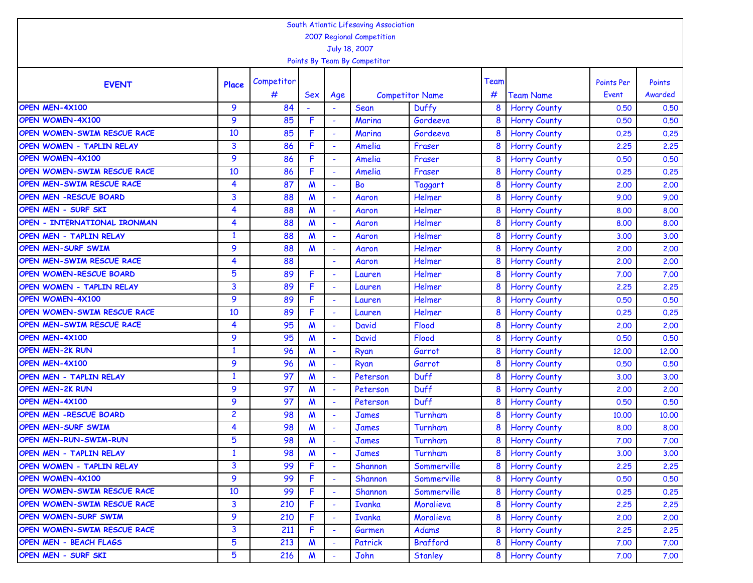| South Atlantic Lifesaving Association<br>2007 Regional Competition |                         |            |                  |                          |                              |                        |      |                     |                   |         |  |  |  |
|--------------------------------------------------------------------|-------------------------|------------|------------------|--------------------------|------------------------------|------------------------|------|---------------------|-------------------|---------|--|--|--|
|                                                                    |                         |            |                  |                          |                              |                        |      |                     |                   |         |  |  |  |
|                                                                    |                         |            |                  |                          | July 18, 2007                |                        |      |                     |                   |         |  |  |  |
|                                                                    |                         |            |                  |                          | Points By Team By Competitor |                        |      |                     |                   |         |  |  |  |
| <b>EVENT</b>                                                       | Place                   | Competitor |                  |                          |                              |                        | Team |                     | <b>Points Per</b> | Points  |  |  |  |
|                                                                    |                         | #          | Sex              | Age                      |                              | <b>Competitor Name</b> | #    | <b>Team Name</b>    | Event             | Awarded |  |  |  |
| OPEN MEN-4X100                                                     | 9                       | 84         |                  |                          | Sean                         | Duffy                  | 8    | <b>Horry County</b> | 0.50              | 0.50    |  |  |  |
| <b>OPEN WOMEN-4X100</b>                                            | 9                       | 85         | F                |                          | Marina                       | Gordeeva               | 8    | <b>Horry County</b> | 0.50              | 0.50    |  |  |  |
| OPEN WOMEN-SWIM RESCUE RACE                                        | 10                      | 85         | F                | L,                       | Marina                       | Gordeeva               | 8    | <b>Horry County</b> | 0.25              | 0.25    |  |  |  |
| OPEN WOMEN - TAPLIN RELAY                                          | 3                       | 86         | F.               | ÷                        | Amelia                       | Fraser                 | 8    | <b>Horry County</b> | 2.25              | 2.25    |  |  |  |
| OPEN WOMEN-4X100                                                   | 9                       | 86         | F                |                          | Amelia                       | Fraser                 | 8    | <b>Horry County</b> | 0.50              | 0.50    |  |  |  |
| OPEN WOMEN-SWIM RESCUE RACE                                        | 10                      | 86         | F                |                          | Amelia                       | Fraser                 | 8    | <b>Horry County</b> | 0.25              | 0.25    |  |  |  |
| OPEN MEN-SWIM RESCUE RACE                                          | 4                       | 87         | $\mathsf{M}$     |                          | Bo                           | <b>Taggart</b>         | 8    | <b>Horry County</b> | 2,00              | 2.00    |  |  |  |
| <b>OPEN MEN -RESCUE BOARD</b>                                      | 3                       | 88         | M                |                          | Aaron                        | Helmer                 | 8    | <b>Horry County</b> | 9.00              | 9.00    |  |  |  |
| OPEN MEN - SURF SKI                                                | 4                       | 88         | M                |                          | Aaron                        | Helmer                 | 8    | <b>Horry County</b> | 8.00              | 8.00    |  |  |  |
| OPEN - INTERNATIONAL IRONMAN                                       | 4                       | 88         | $\boldsymbol{M}$ |                          | Aaron                        | Helmer                 | 8    | <b>Horry County</b> | 8,00              | 8.00    |  |  |  |
| OPEN MEN - TAPLIN RELAY                                            | $\mathbf{1}$            | 88         | M                | ÷                        | Aaron                        | Helmer                 | 8    | <b>Horry County</b> | 3,00              | 3.00    |  |  |  |
| <b>OPEN MEN-SURF SWIM</b>                                          | 9                       | 88         | $\boldsymbol{M}$ | ÷                        | Aaron                        | Helmer                 | 8    | <b>Horry County</b> | 2,00              | 2.00    |  |  |  |
| OPEN MEN-SWIM RESCUE RACE                                          | 4                       | 88         |                  | $\sim$                   | Aaron                        | Helmer                 | 8    | <b>Horry County</b> | 2,00              | 2.00    |  |  |  |
| OPEN WOMEN-RESCUE BOARD                                            | 5                       | 89         | F                |                          | Lauren                       | Helmer                 | 8    | <b>Horry County</b> | 7.00              | 7.00    |  |  |  |
| OPEN WOMEN - TAPLIN RELAY                                          | 3                       | 89         | F                | ÷                        | Lauren                       | Helmer                 | 8    | <b>Horry County</b> | 2.25              | 2.25    |  |  |  |
| OPEN WOMEN-4X100                                                   | 9                       | 89         | F.               |                          | Lauren                       | Helmer                 | 8    | <b>Horry County</b> | 0.50              | 0.50    |  |  |  |
| OPEN WOMEN-SWIM RESCUE RACE                                        | 10                      | 89         | F                | $\overline{\phantom{a}}$ | Lauren                       | Helmer                 | 8    | <b>Horry County</b> | 0.25              | 0.25    |  |  |  |
| OPEN MEN-SWIM RESCUE RACE                                          | 4                       | 95         | $\boldsymbol{M}$ |                          | David                        | Flood                  | 8    | <b>Horry County</b> | 2.00              | 2.00    |  |  |  |
| OPEN MEN-4X100                                                     | 9                       | 95         | M                | $\overline{\phantom{a}}$ | <b>David</b>                 | Flood                  | 8    | <b>Horry County</b> | 0.50              | 0.50    |  |  |  |
| <b>OPEN MEN-2K RUN</b>                                             | $\mathbf{1}$            | 96         | M                |                          | Ryan                         | Garrot                 | 8    | <b>Horry County</b> | 12.00             | 12,00   |  |  |  |
| OPEN MEN-4X100                                                     | 9                       | 96         | M                | $\overline{\phantom{a}}$ | Ryan                         | Garrot                 | 8    | <b>Horry County</b> | 0.50              | 0.50    |  |  |  |
| OPEN MEN - TAPLIN RELAY                                            | $\mathbf{1}$            | 97         | M                |                          | Peterson                     | Duff                   | 8    | <b>Horry County</b> | 3,00              | 3.00    |  |  |  |
| <b>OPEN MEN-2K RUN</b>                                             | 9                       | 97         | M                | $\overline{\phantom{a}}$ | Peterson                     | Duff                   | 8    | <b>Horry County</b> | 2.00              | 2.00    |  |  |  |
| OPEN MEN-4X100                                                     | 9                       | 97         | M                | L,                       | Peterson                     | Duff                   | 8    | <b>Horry County</b> | 0.50              | 0.50    |  |  |  |
| OPEN MEN -RESCUE BOARD                                             | $\overline{c}$          | 98         | M                | $\overline{\phantom{a}}$ | James                        | Turnham                | 8    | <b>Horry County</b> | 10,00             | 10,00   |  |  |  |
| <b>OPEN MEN-SURF SWIM</b>                                          | 4                       | 98         | M                |                          | James                        | Turnham                | 8    | <b>Horry County</b> | 8.00              | 8.00    |  |  |  |
| <b>OPEN MEN-RUN-SWIM-RUN</b>                                       | 5                       | 98         | M                |                          | James                        | Turnham                | 8    | <b>Horry County</b> | 7.00              | 7.00    |  |  |  |
| OPEN MEN - TAPLIN RELAY                                            | $\mathbf{1}$            | 98         | $\boldsymbol{M}$ | $\tilde{\phantom{a}}$    | <b>James</b>                 | Turnham                | 8    | <b>Horry County</b> | 3.00              | 3.00    |  |  |  |
| OPEN WOMEN - TAPLIN RELAY                                          | $\overline{\mathbf{3}}$ | 99         | F                |                          | Shannon                      | Sommerville            |      | <b>Horry County</b> | 2.25              | 2.25    |  |  |  |
| OPEN WOMEN-4X100                                                   | 9                       | 99         | F                |                          | Shannon                      | Sommerville            | 8    | <b>Horry County</b> | 0.50              | 0.50    |  |  |  |
| OPEN WOMEN-SWIM RESCUE RACE                                        | 10                      | 99         | F                |                          | Shannon                      | Sommerville            | 8    | <b>Horry County</b> | 0.25              | 0.25    |  |  |  |
| OPEN WOMEN-SWIM RESCUE RACE                                        | 3                       | 210        | F.               |                          | <b>Ivanka</b>                | Moralieva              | 8    | <b>Horry County</b> | 2.25              | 2.25    |  |  |  |
| OPEN WOMEN-SURF SWIM                                               | 9                       | 210        | F                |                          | <b>Ivanka</b>                | Moralieva              | 8    | <b>Horry County</b> | 2,00              | 2,00    |  |  |  |
| OPEN WOMEN-SWIM RESCUE RACE                                        | 3                       | 211        | F                |                          | Garmen                       | Adams                  | 8    | <b>Horry County</b> | 2.25              | 2.25    |  |  |  |
| <b>OPEN MEN - BEACH FLAGS</b>                                      | 5                       | 213        | M                |                          | Patrick                      | <b>Brafford</b>        | 8    | <b>Horry County</b> | 7.00              | 7.00    |  |  |  |
| OPEN MEN - SURF SKI                                                | 5                       | 216        | M                |                          | John                         | Stanley                | 8    | <b>Horry County</b> | 7.00              | 7.00    |  |  |  |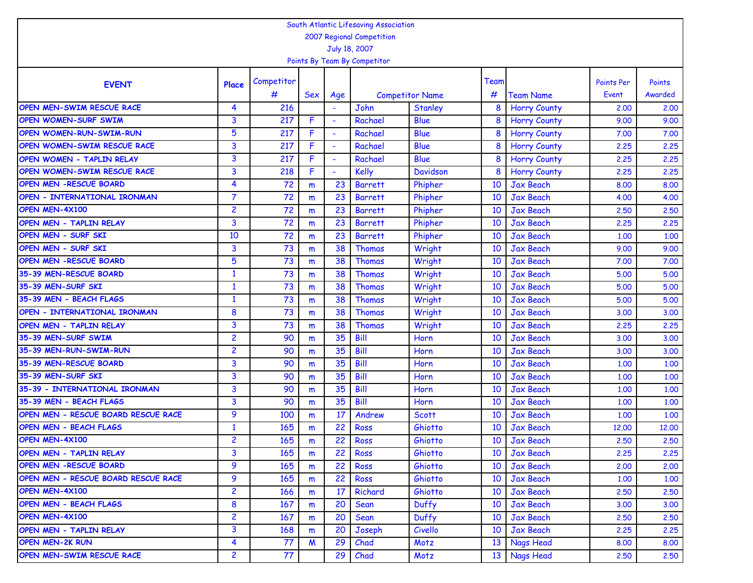| South Atlantic Lifesaving Association<br>2007 Regional Competition |                |            |     |                          |                              |                        |      |                     |                   |         |  |  |  |
|--------------------------------------------------------------------|----------------|------------|-----|--------------------------|------------------------------|------------------------|------|---------------------|-------------------|---------|--|--|--|
|                                                                    |                |            |     |                          |                              |                        |      |                     |                   |         |  |  |  |
|                                                                    |                |            |     |                          | July 18, 2007                |                        |      |                     |                   |         |  |  |  |
|                                                                    |                |            |     |                          | Points By Team By Competitor |                        |      |                     |                   |         |  |  |  |
| <b>EVENT</b>                                                       | Place          | Competitor |     |                          |                              |                        | Team |                     | <b>Points Per</b> | Points  |  |  |  |
|                                                                    |                | #          | Sex | Age                      |                              | <b>Competitor Name</b> | #    | <b>Team Name</b>    | Event             | Awarded |  |  |  |
| OPEN MEN-SWIM RESCUE RACE                                          | 4              | 216        |     |                          | John                         | Stanley                | 8    | <b>Horry County</b> | 2.00              | 2.00    |  |  |  |
| <b>OPEN WOMEN-SURF SWIM</b>                                        | 3              | 217        | F   |                          | Rachael                      | <b>Blue</b>            | 8    | <b>Horry County</b> | 9.00              | 9.00    |  |  |  |
| <b>OPEN WOMEN-RUN-SWIM-RUN</b>                                     | 5              | 217        | F   |                          | Rachael                      | Blue                   | 8    | <b>Horry County</b> | 7.00              | 7.00    |  |  |  |
| OPEN WOMEN-SWIM RESCUE RACE                                        | 3              | 217        | F   | $\overline{\phantom{a}}$ | Rachael                      | Blue                   | 8    | <b>Horry County</b> | 2.25              | 2.25    |  |  |  |
| OPEN WOMEN - TAPLIN RELAY                                          | 3              | 217        | F   | $\overline{\phantom{a}}$ | Rachael                      | Blue                   | 8    | <b>Horry County</b> | 2.25              | 2.25    |  |  |  |
| OPEN WOMEN-SWIM RESCUE RACE                                        | 3              | 218        | F   |                          | <b>Kelly</b>                 | Davidson               | 8    | <b>Horry County</b> | 2.25              | 2.25    |  |  |  |
| <b>OPEN MEN -RESCUE BOARD</b>                                      | 4              | 72         | m   | 23                       | <b>Barrett</b>               | Phipher                | 10   | <b>Jax Beach</b>    | 8.00              | 8.00    |  |  |  |
| OPEN - INTERNATIONAL IRONMAN                                       | $\overline{7}$ | 72         | m   | 23                       | <b>Barrett</b>               | Phipher                | 10   | <b>Jax Beach</b>    | 4.00              | 4.00    |  |  |  |
| OPEN MEN-4X100                                                     | 2              | 72         | m   | 23                       | <b>Barrett</b>               | Phipher                | 10   | <b>Jax Beach</b>    | 2.50              | 2.50    |  |  |  |
| <b>OPEN MEN - TAPLIN RELAY</b>                                     | 3              | 72         | m   | 23                       | <b>Barrett</b>               | Phipher                | 10   | <b>Jax Beach</b>    | 2.25              | 2.25    |  |  |  |
| OPEN MEN - SURF SKI                                                | 10             | 72         | m   | 23                       | <b>Barrett</b>               | Phipher                | 10   | <b>Jax Beach</b>    | 1.00              | 1.00    |  |  |  |
| <b>OPEN MEN - SURF SKI</b>                                         | 3              | 73         | m   | 38                       | <b>Thomas</b>                | Wright                 | 10   | <b>Jax Beach</b>    | 9.00              | 9.00    |  |  |  |
| <b>OPEN MEN -RESCUE BOARD</b>                                      | 5              | 73         | m   | 38                       | <b>Thomas</b>                | Wright                 | 10   | <b>Jax Beach</b>    | 7.00              | 7.00    |  |  |  |
| 35-39 MEN-RESCUE BOARD                                             | $\mathbf{1}$   | 73         | m   | 38                       | Thomas                       | Wright                 | 10   | <b>Jax Beach</b>    | 5.00              | 5.00    |  |  |  |
| 35-39 MEN-SURF SKI                                                 | $\mathbf{1}$   | 73         | m   | 38                       | <b>Thomas</b>                | Wright                 | 10   | <b>Jax Beach</b>    | 5.00              | 5.00    |  |  |  |
| 35-39 MEN - BEACH FLAGS                                            | $\mathbf{1}$   | 73         | m   | 38                       | Thomas                       | Wright                 | 10   | <b>Jax Beach</b>    | 5.00              | 5.00    |  |  |  |
| OPEN - INTERNATIONAL IRONMAN                                       | 8              | 73         | m   | 38                       | Thomas                       | Wright                 | 10   | <b>Jax Beach</b>    | 3,00              | 3.00    |  |  |  |
| OPEN MEN - TAPLIN RELAY                                            | 3              | 73         | m   | 38                       | Thomas                       | Wright                 | 10   | Jax Beach           | 2.25              | 2.25    |  |  |  |
| 35-39 MEN-SURF SWIM                                                | $\overline{c}$ | 90         | m   | 35                       | Bill                         | Horn                   | 10   | <b>Jax Beach</b>    | 3,00              | 3.00    |  |  |  |
| 35-39 MEN-RUN-SWIM-RUN                                             | 2              | 90         | m   | 35                       | Bill                         | Horn                   | 10   | <b>Jax Beach</b>    | 3.00              | 3.00    |  |  |  |
| 35-39 MEN-RESCUE BOARD                                             | 3              | 90         | m   | 35                       | Bill                         | Horn                   | 10   | <b>Jax Beach</b>    | 1.00              | 1.00    |  |  |  |
| 35-39 MEN-SURF SKI                                                 | 3              | 90         | m   | 35                       | Bill                         | Horn                   | 10   | <b>Jax Beach</b>    | 1,00              | 1.00    |  |  |  |
| 35-39 - INTERNATIONAL IRONMAN                                      | 3              | 90         | m   | 35                       | Bill                         | Horn                   | 10   | <b>Jax Beach</b>    | 1.00              | 1.00    |  |  |  |
| 35-39 MEN - BEACH FLAGS                                            | 3              | 90         | m   | 35                       | Bill                         | Horn                   | 10   | <b>Jax Beach</b>    | 1,00              | 1.00    |  |  |  |
| OPEN MEN - RESCUE BOARD RESCUE RACE                                | 9              | 100        | m   | 17                       | Andrew                       | <b>Scott</b>           | 10   | <b>Jax Beach</b>    | 1,00              | 1.00    |  |  |  |
| <b>OPEN MEN - BEACH FLAGS</b>                                      | $\mathbf{1}$   | 165        | m   | 22                       | Ross                         | Ghiotto                | 10   | <b>Jax Beach</b>    | 12,00             | 12,00   |  |  |  |
| OPEN MEN-4X100                                                     | $\overline{c}$ | 165        | m   | 22                       | <b>Ross</b>                  | Ghiotto                | 10   | <b>Jax Beach</b>    | 2.50              | 2.50    |  |  |  |
| <b>OPEN MEN - TAPLIN RELAY</b>                                     | 3              | 165        | m   | 22                       | Ross                         | Ghiotto                | 10   | Jax Beach           | 2.25              | 2,25    |  |  |  |
| <b>OPEN MEN -RESCUE BOARD</b>                                      | 9              | 165        | m   | 22                       | Ross                         | Ghiotto                | 10   | Jax Beach           | 2,00              | 2.00    |  |  |  |
| OPEN MEN - RESCUE BOARD RESCUE RACE                                | 9              | 165        | m   | 22                       | Ross                         | Ghiotto                | 10   | Jax Beach           | 1.00              | 1.00    |  |  |  |
| OPEN MEN-4X100                                                     | $\overline{2}$ | 166        | m   | 17                       | Richard                      | Ghiotto                | 10   | Jax Beach           | 2,50              | 2,50    |  |  |  |
| <b>OPEN MEN - BEACH FLAGS</b>                                      | 8              | 167        | m   | 20                       | Sean                         | Duffy                  | 10   | Jax Beach           | 3.00              | 3.00    |  |  |  |
| OPEN MEN-4X100                                                     | $\overline{2}$ | 167        | m   | 20                       | Sean                         | Duffy                  | 10   | Jax Beach           | 2,50              | 2.50    |  |  |  |
| <b>OPEN MEN - TAPLIN RELAY</b>                                     | 3              | 168        | m   | 20                       | Joseph                       | Civello                | 10   | Jax Beach           | 2.25              | 2.25    |  |  |  |
| <b>OPEN MEN-2K RUN</b>                                             | 4              | 77         | M   | 29                       | Chad                         | Motz                   | 13   | Nags Head           | 8.00              | 8.00    |  |  |  |
| OPEN MEN-SWIM RESCUE RACE                                          | $\overline{c}$ | 77         |     | 29                       | Chad                         | Motz                   | 13   | Nags Head           | 2,50              | 2,50    |  |  |  |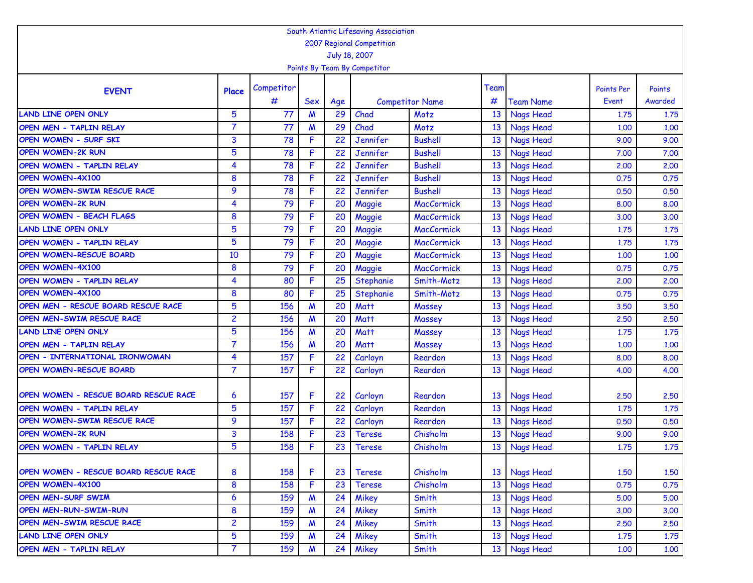|                                       |                 |            |                  |           | South Atlantic Lifesaving Association |                                |      |                  |                            |              |
|---------------------------------------|-----------------|------------|------------------|-----------|---------------------------------------|--------------------------------|------|------------------|----------------------------|--------------|
|                                       |                 |            |                  |           | 2007 Regional Competition             |                                |      |                  |                            |              |
|                                       |                 |            |                  |           | July 18, 2007                         |                                |      |                  |                            |              |
|                                       |                 |            |                  |           | Points By Team By Competitor          |                                |      |                  |                            |              |
|                                       |                 | Competitor |                  |           |                                       |                                | Team |                  |                            | Points       |
| <b>EVENT</b>                          | Place           | #          | Sex              |           |                                       |                                | #    | <b>Team Name</b> | <b>Points Per</b><br>Event | Awarded      |
| <b>LAND LINE OPEN ONLY</b>            | 5               | 77         | M                | Age<br>29 | Chad                                  | <b>Competitor Name</b><br>Motz | 13   | <b>Nags Head</b> | 1.75                       |              |
| OPEN MEN - TAPLIN RELAY               | 7               | 77         | M                | 29        | Chad                                  | Motz                           | 13   | <b>Nags Head</b> | 1,00                       | 1.75<br>1.00 |
| OPEN WOMEN - SURF SKI                 | 3               | 78         | F                | 22        | Jennifer                              | <b>Bushell</b>                 | 13   | <b>Nags Head</b> | 9.00                       | 9.00         |
| <b>OPEN WOMEN-2K RUN</b>              | 5               | 78         | F                | 22        | Jennifer                              | <b>Bushell</b>                 | 13   | <b>Nags Head</b> | 7.00                       | 7.00         |
| OPEN WOMEN - TAPLIN RELAY             | 4               | 78         | F                | 22        | Jennifer                              | <b>Bushell</b>                 | 13   | Nags Head        | 2,00                       | 2.00         |
| OPEN WOMEN-4X100                      | 8               | 78         | F                | 22        | Jennifer                              | <b>Bushell</b>                 | 13   | <b>Nags Head</b> | 0.75                       | 0.75         |
| OPEN WOMEN-SWIM RESCUE RACE           | 9               | 78         | F                | 22        | Jennifer                              | <b>Bushell</b>                 | 13   | <b>Nags Head</b> | 0.50                       | 0.50         |
| <b>OPEN WOMEN-2K RUN</b>              | 4               | 79         | F                | 20        | Maggie                                | <b>MacCormick</b>              | 13   | <b>Nags Head</b> | 8,00                       | 8.00         |
| <b>OPEN WOMEN - BEACH FLAGS</b>       | 8               | 79         | F                | 20        | Maggie                                | <b>MacCormick</b>              | 13   | <b>Nags Head</b> | 3.00                       | 3.00         |
| <b>LAND LINE OPEN ONLY</b>            | 5               | 79         | F                | 20        | Maggie                                | <b>MacCormick</b>              | 13   | <b>Nags Head</b> | 1.75                       | 1.75         |
| OPEN WOMEN - TAPLIN RELAY             | 5               | 79         | F                | 20        | Maggie                                | <b>MacCormick</b>              | 13   | <b>Nags Head</b> | 1.75                       | 1.75         |
| OPEN WOMEN-RESCUE BOARD               | 10              | 79         | F                | 20        | Maggie                                | <b>MacCormick</b>              | 13   | <b>Nags Head</b> | 1,00                       | 1.00         |
| <b>OPEN WOMEN-4X100</b>               | 8               | 79         | F                | 20        | Maggie                                | <b>MacCormick</b>              | 13   | <b>Nags Head</b> | 0.75                       | 0.75         |
| OPEN WOMEN - TAPLIN RELAY             | 4               | 80         | F                | 25        | Stephanie                             | Smith-Motz                     | 13   | <b>Nags Head</b> | 2.00                       | 2.00         |
| <b>OPEN WOMEN-4X100</b>               | 8               | 80         | F                | 25        | Stephanie                             | Smith-Motz                     | 13   | <b>Nags Head</b> | 0.75                       | 0.75         |
| OPEN MEN - RESCUE BOARD RESCUE RACE   | $5\phantom{.0}$ | 156        | $\boldsymbol{M}$ | 20        | <b>Matt</b>                           | Massey                         | 13   | <b>Nags Head</b> | 3.50                       | 3.50         |
| OPEN MEN-SWIM RESCUE RACE             | $\overline{c}$  | 156        | $\boldsymbol{M}$ | 20        | <b>Matt</b>                           | Massey                         | 13   | <b>Nags Head</b> | 2.50                       | 2.50         |
| <b>LAND LINE OPEN ONLY</b>            | 5               | 156        | M                | 20        | <b>Matt</b>                           | Massey                         | 13   | <b>Nags Head</b> | 1.75                       | 1.75         |
| OPEN MEN - TAPLIN RELAY               | $\overline{7}$  | 156        | M                | 20        | <b>Matt</b>                           | Massey                         | 13   | <b>Nags Head</b> | 1,00                       | 1.00         |
| OPEN - INTERNATIONAL IRONWOMAN        | 4               | 157        | F                | 22        | Carloyn                               | Reardon                        | 13   | <b>Nags Head</b> | 8.00                       | 8.00         |
| OPEN WOMEN-RESCUE BOARD               | 7               | 157        | F.               | 22        | Carloyn                               | Reardon                        | 13   | <b>Nags Head</b> | 4.00                       | 4.00         |
|                                       |                 |            |                  |           |                                       |                                |      |                  |                            |              |
| OPEN WOMEN - RESCUE BOARD RESCUE RACE | 6               | 157        | F                | 22        | Carloyn                               | Reardon                        | 13   | <b>Nags Head</b> | 2,50                       | 2,50         |
| OPEN WOMEN - TAPLIN RELAY             | $5\phantom{.0}$ | 157        | F                | 22        | Carloyn                               | Reardon                        | 13   | Nags Head        | 1.75                       | 1.75         |
| OPEN WOMEN-SWIM RESCUE RACE           | 9               | 157        | F.               | 22        | Carloyn                               | Reardon                        | 13   | <b>Nags Head</b> | 0.50                       | 0.50         |
| <b>OPEN WOMEN-2K RUN</b>              | 3               | 158        | F.               | 23        | <b>Terese</b>                         | Chisholm                       | 13   | <b>Nags Head</b> | 9.00                       | 9.00         |
| OPEN WOMEN - TAPLIN RELAY             | 5               | 158        | F                | 23        | <b>Terese</b>                         | Chisholm                       | 13   | Nags Head        | 1.75                       | 1.75         |
|                                       |                 |            |                  |           |                                       |                                |      |                  |                            |              |
| OPEN WOMEN - RESCUE BOARD RESCUE RACE | 8               | 158        | F                | 23        | <b>Terese</b>                         | Chisholm                       | 13   | <b>Nags Head</b> | 1,50                       | 1.50         |
| OPEN WOMEN-4X100                      | 8               | 158        | F.               | 23        | <b>Terese</b>                         | Chisholm                       | 13   | <b>Nags Head</b> | 0.75                       | 0.75         |
| OPEN MEN-SURF SWIM                    | 6               | 159        | $\boldsymbol{M}$ | 24        | Mikey                                 | Smith                          | 13   | <b>Nags Head</b> | 5.00                       | 5.00         |
| OPEN MEN-RUN-SWIM-RUN                 | 8               | 159        | $\boldsymbol{M}$ | 24        | Mikey                                 | Smith                          | 13   | <b>Nags Head</b> | 3.00                       | 3.00         |
| OPEN MEN-SWIM RESCUE RACE             | $\overline{2}$  | 159        | $\boldsymbol{M}$ | 24        | Mikey                                 | Smith                          | 13   | Nags Head        | 2,50                       | 2,50         |
| <b>LAND LINE OPEN ONLY</b>            | 5               | 159        | $\boldsymbol{M}$ | 24        | Mikey                                 | Smith                          | 13   | Nags Head        | 1.75                       | 1.75         |
| OPEN MEN - TAPLIN RELAY               | $\overline{7}$  | 159        | $\boldsymbol{M}$ | 24        | Mikey                                 | Smith                          | 13   | Nags Head        | 1.00                       | 1.00         |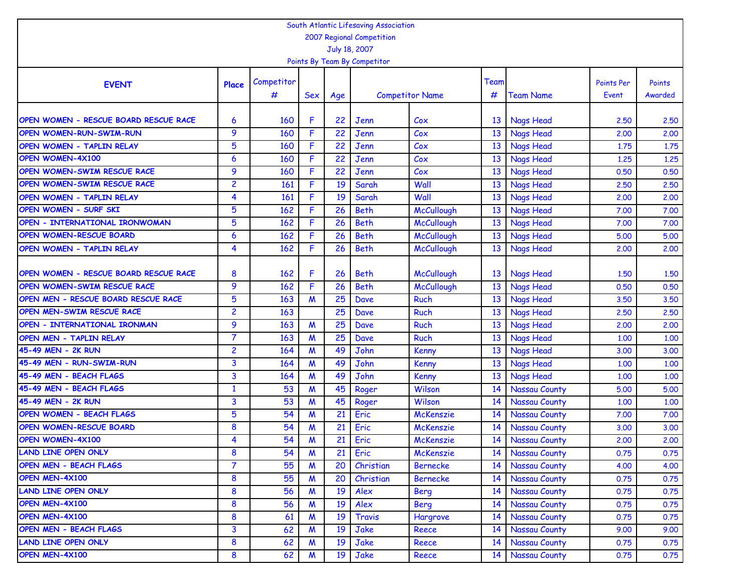|                                       |                         |            |            |                 | South Atlantic Lifesaving Association |                        |      |                      |                   |         |
|---------------------------------------|-------------------------|------------|------------|-----------------|---------------------------------------|------------------------|------|----------------------|-------------------|---------|
|                                       |                         |            |            |                 | 2007 Regional Competition             |                        |      |                      |                   |         |
|                                       |                         |            |            |                 | July 18, 2007                         |                        |      |                      |                   |         |
|                                       |                         |            |            |                 | Points By Team By Competitor          |                        |      |                      |                   |         |
|                                       |                         | Competitor |            |                 |                                       |                        | Team |                      | <b>Points Per</b> | Points  |
| <b>EVENT</b>                          | Place                   | #          | <b>Sex</b> | Age             |                                       | <b>Competitor Name</b> | #    | <b>Team Name</b>     | Event             | Awarded |
|                                       |                         |            |            |                 |                                       |                        |      |                      |                   |         |
| OPEN WOMEN - RESCUE BOARD RESCUE RACE | 6                       | 160        | F          | 22              | Jenn                                  | C <sub>ox</sub>        | 13   | <b>Nags Head</b>     | 2.50              | 2.50    |
| OPEN WOMEN-RUN-SWIM-RUN               | 9                       | 160        | F          | 22              | Jenn                                  | Cox                    | 13   | <b>Nags Head</b>     | 2,00              | 2.00    |
| OPEN WOMEN - TAPLIN RELAY             | $5\phantom{.0}$         | 160        | F          | 22              | Jenn                                  | Cox                    | 13   | <b>Nags Head</b>     | 1.75              | 1.75    |
| <b>OPEN WOMEN-4X100</b>               | $\boldsymbol{6}$        | 160        | F          | $\overline{22}$ | Jenn                                  | Cox                    | 13   | Nags Head            | 1.25              | 1.25    |
| OPEN WOMEN-SWIM RESCUE RACE           | 9                       | 160        | F          | 22              | Jenn                                  | Cox                    | 13   | <b>Nags Head</b>     | 0.50              | 0.50    |
| OPEN WOMEN-SWIM RESCUE RACE           | $\overline{2}$          | 161        | F          | 19              | Sarah                                 | Wall                   | 13   | Nags Head            | 2.50              | 2.50    |
| OPEN WOMEN - TAPLIN RELAY             | 4                       | 161        | F          | 19              | Sarah                                 | Wall                   | 13   | Nags Head            | 2,00              | 2.00    |
| OPEN WOMEN - SURF SKI                 | 5                       | 162        | F          | 26              | <b>Beth</b>                           | McCullough             | 13   | Nags Head            | 7.00              | 7.00    |
| OPEN - INTERNATIONAL IRONWOMAN        | 5                       | 162        | F          | 26              | <b>Beth</b>                           | McCullough             | 13   | <b>Nags Head</b>     | 7.00              | 7.00    |
| OPEN WOMEN-RESCUE BOARD               | 6                       | 162        | F          | 26              | <b>Beth</b>                           | McCullough             | 13   | <b>Nags Head</b>     | 5.00              | 5.00    |
| <b>OPEN WOMEN - TAPLIN RELAY</b>      | 4                       | 162        | F          | 26              | <b>Beth</b>                           | McCullough             | 13   | <b>Nags Head</b>     | 2,00              | 2.00    |
|                                       |                         |            |            |                 |                                       |                        |      |                      |                   |         |
| OPEN WOMEN - RESCUE BOARD RESCUE RACE | 8                       | 162        | F          | 26              | <b>Beth</b>                           | McCullough             | 13   | <b>Nags Head</b>     | 1.50              | 1.50    |
| OPEN WOMEN-SWIM RESCUE RACE           | 9                       | 162        | F          | 26              | <b>Beth</b>                           | <b>McCullough</b>      | 13   | <b>Nags Head</b>     | 0.50              | 0.50    |
| OPEN MEN - RESCUE BOARD RESCUE RACE   | 5                       | 163        | M          | 25              | Dave                                  | <b>Ruch</b>            | 13   | <b>Nags Head</b>     | 3.50              | 3.50    |
| OPEN MEN-SWIM RESCUE RACE             | $\overline{c}$          | 163        |            | 25              | Dave                                  | <b>Ruch</b>            | 13   | <b>Nags Head</b>     | 2,50              | 2.50    |
| OPEN - INTERNATIONAL IRONMAN          | 9                       | 163        | M          | 25              | Dave                                  | <b>Ruch</b>            | 13   | <b>Nags Head</b>     | 2,00              | 2.00    |
| OPEN MEN - TAPLIN RELAY               | $\overline{7}$          | 163        | M          | 25              | Dave                                  | <b>Ruch</b>            | 13   | <b>Nags Head</b>     | 1.00              | 1.00    |
| 45-49 MEN - 2K RUN                    | $\overline{c}$          | 164        | M          | 49              | John                                  | Kenny                  | 13   | <b>Nags Head</b>     | 3,00              | 3.00    |
| 45-49 MEN - RUN-SWIM-RUN              | 3                       | 164        | M          | 49              | John                                  | Kenny                  | 13   | <b>Nags Head</b>     | 1.00              | 1.00    |
| 45-49 MEN - BEACH FLAGS               | 3                       | 164        | W          | 49              | John                                  | Kenny                  | 13   | Nags Head            | 1,00              | 1.00    |
| 45-49 MEN - BEACH FLAGS               | $\mathbf{1}$            | 53         | M          | 45              | Roger                                 | Wilson                 | 14   | Nassau County        | 5.00              | 5.00    |
| 45-49 MEN - 2K RUN                    | 3                       | 53         | M          | 45              | Roger                                 | Wilson                 | 14   | Nassau County        | 1.00              | 1.00    |
| OPEN WOMEN - BEACH FLAGS              | $5\phantom{.0}$         | 54         | W          | 21              | Eric                                  | <b>McKenszie</b>       | 14   | <b>Nassau County</b> | 7.00              | 7.00    |
| OPEN WOMEN-RESCUE BOARD               | $\bf{8}$                | 54         | M          | 21              | Eric                                  | <b>McKenszie</b>       | 14   | <b>Nassau County</b> | 3.00              | 3.00    |
| OPEN WOMEN-4X100                      | 4                       | 54         | M          | 21              | Eric                                  | <b>McKenszie</b>       | 14   | Nassau County        | 2.00              | 2.00    |
| <b>LAND LINE OPEN ONLY</b>            | $\bf{8}$                | 54         | W          | 21              | Eric                                  | McKenszie              | 14   | <b>Nassau County</b> | 0.75              | 0.75    |
| OPEN MEN - BEACH FLAGS                | $\overline{7}$          | 55         | M          | 20              | Christian                             | <b>Bernecke</b>        | 14   | Nassau County        | 4.00              | 4.00    |
| OPEN MEN-4X100                        | 8                       | 55         | M          | 20              | Christian                             | <b>Bernecke</b>        | 14   | Nassau County        | 0.75              | 0.75    |
| <b>LAND LINE OPEN ONLY</b>            | 8                       | 56         | M          | 19              | Alex                                  | <b>Berg</b>            | 14   | Nassau County        | 0.75              | 0.75    |
| OPEN MEN-4X100                        | 8                       | 56         | M          | 19              | Alex                                  | <b>Berg</b>            | 14   | Nassau County        | 0.75              | 0.75    |
| OPEN MEN-4X100                        | 8                       | 61         | M          | 19              | <b>Travis</b>                         | Hargrove               | 14   | Nassau County        | 0.75              | 0.75    |
| OPEN MEN - BEACH FLAGS                | $\overline{\mathbf{3}}$ | 62         | M          | 19              | Jake                                  | Reece                  | 14   | Nassau County        | 9.00              | 9.00    |
| <b>LAND LINE OPEN ONLY</b>            | 8                       | 62         | M          | 19              | Jake                                  | Reece                  | 14   | Nassau County        | 0.75              | 0.75    |
| OPEN MEN-4X100                        | 8                       | 62         | M          | 19              | Jake                                  | Reece                  | 14   | <b>Nassau County</b> | 0.75              | 0.75    |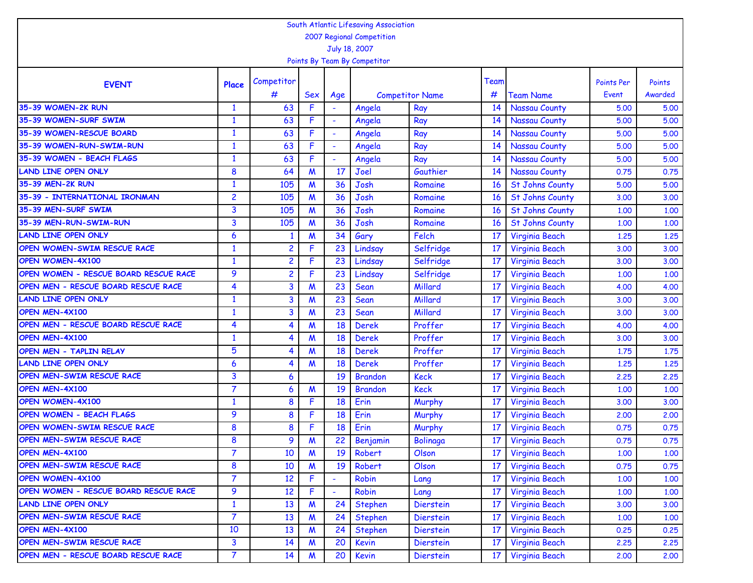| South Atlantic Lifesaving Association<br>2007 Regional Competition |                 |                         |                  |        |                              |                        |      |                        |                   |         |  |  |  |
|--------------------------------------------------------------------|-----------------|-------------------------|------------------|--------|------------------------------|------------------------|------|------------------------|-------------------|---------|--|--|--|
|                                                                    |                 |                         |                  |        |                              |                        |      |                        |                   |         |  |  |  |
|                                                                    |                 |                         |                  |        | July 18, 2007                |                        |      |                        |                   |         |  |  |  |
|                                                                    |                 |                         |                  |        | Points By Team By Competitor |                        |      |                        |                   |         |  |  |  |
| <b>EVENT</b>                                                       | Place           | Competitor              |                  |        |                              |                        | Team |                        | <b>Points Per</b> | Points  |  |  |  |
|                                                                    |                 | #                       | Sex              | Age    |                              | <b>Competitor Name</b> | #    | <b>Team Name</b>       | Event             | Awarded |  |  |  |
| 35-39 WOMEN-2K RUN                                                 | $\mathbf{1}$    | 63                      | F                |        | Angela                       | Ray                    | 14   | Nassau County          | 5.00              | 5.00    |  |  |  |
| 35-39 WOMEN-SURF SWIM                                              | $\mathbf{1}$    | 63                      | F                |        | Angela                       | Ray                    | 14   | Nassau County          | 5.00              | 5.00    |  |  |  |
| 35-39 WOMEN-RESCUE BOARD                                           | $\mathbf{1}$    | 63                      | F.               | ÷      | Angela                       | Ray                    | 14   | Nassau County          | 5.00              | 5.00    |  |  |  |
| 35-39 WOMEN-RUN-SWIM-RUN                                           | $\mathbf{1}$    | 63                      | F.               | $\sim$ | Angela                       | Ray                    | 14   | Nassau County          | 5.00              | 5.00    |  |  |  |
| 35-39 WOMEN - BEACH FLAGS                                          | 1               | 63                      | F                |        | Angela                       | Ray                    | 14   | Nassau County          | 5.00              | 5.00    |  |  |  |
| <b>LAND LINE OPEN ONLY</b>                                         | 8               | 64                      | $\boldsymbol{M}$ | 17     | Joel                         | Gauthier               | 14   | Nassau County          | 0.75              | 0.75    |  |  |  |
| 35-39 MEN-2K RUN                                                   | $\mathbf{1}$    | 105                     | $\boldsymbol{M}$ | 36     | Josh                         | Romaine                | 16   | <b>St Johns County</b> | 5.00              | 5.00    |  |  |  |
| 35-39 - INTERNATIONAL IRONMAN                                      | $\overline{c}$  | 105                     | M                | 36     | Josh                         | Romaine                | 16   | <b>St Johns County</b> | 3.00              | 3.00    |  |  |  |
| 35-39 MEN-SURF SWIM                                                | 3               | 105                     | M                | 36     | Josh                         | Romaine                | 16   | <b>St Johns County</b> | 1.00              | 1.00    |  |  |  |
| 35-39 MEN-RUN-SWIM-RUN                                             | 3               | 105                     | $\boldsymbol{M}$ | 36     | Josh                         | Romaine                | 16   | <b>St Johns County</b> | 1,00              | 1.00    |  |  |  |
| <b>LAND LINE OPEN ONLY</b>                                         | 6               | $\mathbf{1}$            | $\boldsymbol{M}$ | 34     | Gary                         | Felch                  | 17   | <b>Virginia Beach</b>  | 1.25              | 1.25    |  |  |  |
| OPEN WOMEN-SWIM RESCUE RACE                                        | $\mathbf{1}$    | $\overline{2}$          | F                | 23     | Lindsay                      | Selfridge              | 17   | Virginia Beach         | 3,00              | 3.00    |  |  |  |
| OPEN WOMEN-4X100                                                   | $\mathbf{1}$    | $\overline{c}$          | F                | 23     | Lindsay                      | Selfridge              | 17   | Virginia Beach         | 3,00              | 3.00    |  |  |  |
| OPEN WOMEN - RESCUE BOARD RESCUE RACE                              | 9               | $\overline{2}$          | F                | 23     | Lindsay                      | Selfridge              | 17   | Virginia Beach         | 1,00              | 1.00    |  |  |  |
| OPEN MEN - RESCUE BOARD RESCUE RACE                                | 4               | $\overline{\mathbf{3}}$ | $\boldsymbol{M}$ | 23     | Sean                         | Millard                | 17   | Virginia Beach         | 4.00              | 4.00    |  |  |  |
| <b>LAND LINE OPEN ONLY</b>                                         | $\mathbf{1}$    | $\overline{\mathbf{3}}$ | $\boldsymbol{M}$ | 23     | Sean                         | Millard                | 17   | Virginia Beach         | 3,00              | 3.00    |  |  |  |
| OPEN MEN-4X100                                                     | $\mathbf{1}$    | $\overline{\mathbf{3}}$ | M                | 23     | Sean                         | Millard                | 17   | Virginia Beach         | 3,00              | 3.00    |  |  |  |
| OPEN MEN - RESCUE BOARD RESCUE RACE                                | 4               | 4                       | M                | 18     | <b>Derek</b>                 | Proffer                | 17   | Virginia Beach         | 4.00              | 4.00    |  |  |  |
| OPEN MEN-4X100                                                     | $\mathbf{1}$    | $\overline{4}$          | $\boldsymbol{M}$ | 18     | <b>Derek</b>                 | Proffer                | 17   | Virginia Beach         | 3,00              | 3.00    |  |  |  |
| OPEN MEN - TAPLIN RELAY                                            | $5\phantom{.0}$ | $\overline{4}$          | $\boldsymbol{M}$ | 18     | <b>Derek</b>                 | Proffer                | 17   | Virginia Beach         | 1.75              | 1.75    |  |  |  |
| <b>LAND LINE OPEN ONLY</b>                                         | 6               | 4                       | M                | 18     | <b>Derek</b>                 | Proffer                | 17   | Virginia Beach         | 1.25              | 1.25    |  |  |  |
| OPEN MEN-SWIM RESCUE RACE                                          | 3               | 6                       |                  | 19     | <b>Brandon</b>               | <b>Keck</b>            | 17   | Virginia Beach         | 2.25              | 2.25    |  |  |  |
| OPEN MEN-4X100                                                     | 7               | 6                       | M                | 19     | <b>Brandon</b>               | <b>Keck</b>            | 17   | Virginia Beach         | 1,00              | 1.00    |  |  |  |
| OPEN WOMEN-4X100                                                   | $\mathbf{1}$    | 8                       | F                | 18     | Erin                         | Murphy                 | 17   | <b>Virginia Beach</b>  | 3,00              | 3.00    |  |  |  |
| <b>OPEN WOMEN - BEACH FLAGS</b>                                    | 9               | 8                       | F                | 18     | Erin                         | Murphy                 | 17   | Virginia Beach         | 2,00              | 2,00    |  |  |  |
| OPEN WOMEN-SWIM RESCUE RACE                                        | 8               | 8                       | F                | 18     | Erin                         | Murphy                 | 17   | Virginia Beach         | 0.75              | 0.75    |  |  |  |
| OPEN MEN-SWIM RESCUE RACE                                          | 8               | 9                       | M                | 22     | <b>Benjamin</b>              | Bolinaga               | 17   | Virginia Beach         | 0.75              | 0.75    |  |  |  |
| OPEN MEN-4X100                                                     | $\overline{7}$  | 10                      | $\boldsymbol{M}$ | 19     | Robert                       | Olson                  | 17   | Virginia Beach         | 1.00              | 1.00    |  |  |  |
| OPEN MEN-SWIM RESCUE RACE                                          | 8               | 10                      | $\boldsymbol{M}$ | 19     | Robert                       | Olson                  | 17   | Virginia Beach         | 0.75              | 0.75    |  |  |  |
| OPEN WOMEN-4X100                                                   | $\overline{7}$  | 12                      | F                |        | Robin                        | Lang                   | 17   | Virginia Beach         | 1.00              | 1.00    |  |  |  |
| OPEN WOMEN - RESCUE BOARD RESCUE RACE                              | 9               | 12                      | F                |        | Robin                        | Lang                   | 17   | Virginia Beach         | 1.00              | 1.00    |  |  |  |
| <b>LAND LINE OPEN ONLY</b>                                         | $\mathbf{1}$    | 13                      | $\boldsymbol{M}$ | 24     | <b>Stephen</b>               | Dierstein              | 17   | Virginia Beach         | 3.00              | 3.00    |  |  |  |
| OPEN MEN-SWIM RESCUE RACE                                          | $\overline{7}$  | 13                      | $\boldsymbol{M}$ | 24     | <b>Stephen</b>               | Dierstein              | 17   | Virginia Beach         | 1.00              | 1.00    |  |  |  |
| OPEN MEN-4X100                                                     | 10              | 13                      | $\boldsymbol{M}$ | 24     | <b>Stephen</b>               | Dierstein              | 17   | Virginia Beach         | 0.25              | 0.25    |  |  |  |
| OPEN MEN-SWIM RESCUE RACE                                          | 3               | 14                      | M                | 20     | Kevin                        | Dierstein              | 17   | Virginia Beach         | 2,25              | 2.25    |  |  |  |
| OPEN MEN - RESCUE BOARD RESCUE RACE                                | $\mathbf{7}$    | 14                      | M                | 20     | Kevin                        | Dierstein              | 17   | Virginia Beach         | 2,00              | 2,00    |  |  |  |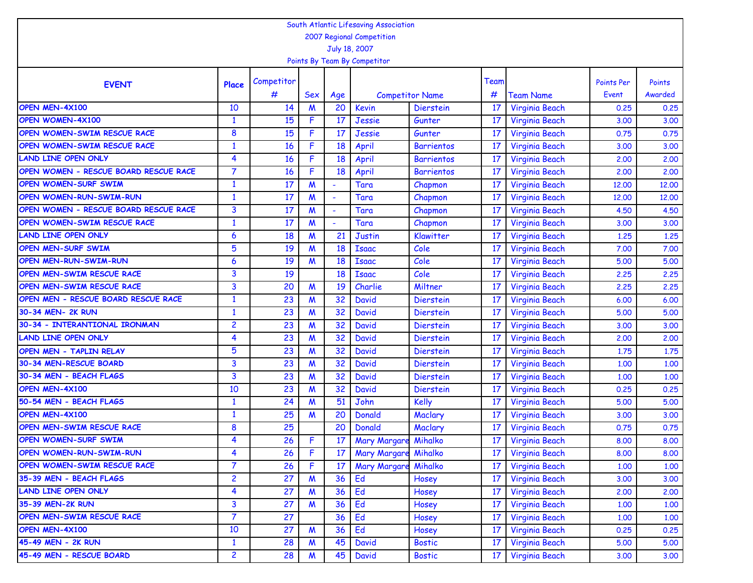| South Atlantic Lifesaving Association<br>2007 Regional Competition |                         |                 |                           |                          |                              |                        |      |                       |                   |         |  |  |
|--------------------------------------------------------------------|-------------------------|-----------------|---------------------------|--------------------------|------------------------------|------------------------|------|-----------------------|-------------------|---------|--|--|
|                                                                    |                         |                 |                           |                          |                              |                        |      |                       |                   |         |  |  |
|                                                                    |                         |                 |                           | July 18, 2007            |                              |                        |      |                       |                   |         |  |  |
|                                                                    |                         |                 |                           |                          | Points By Team By Competitor |                        |      |                       |                   |         |  |  |
| <b>EVENT</b>                                                       | Place                   | Competitor      |                           |                          |                              |                        | Team |                       | <b>Points Per</b> | Points  |  |  |
|                                                                    |                         | #               | Sex                       | Age                      |                              | <b>Competitor Name</b> | #    | <b>Team Name</b>      | Event             | Awarded |  |  |
| OPEN MEN-4X100                                                     | 10                      | 14              | M                         | 20                       | <b>Kevin</b>                 | <b>Dierstein</b>       | 17   | Virginia Beach        | 0.25              | 0.25    |  |  |
| <b>OPEN WOMEN-4X100</b>                                            | $\mathbf{1}$            | 15              | F                         | 17                       | Jessie                       | Gunter                 | 17   | Virginia Beach        | 3,00              | 3.00    |  |  |
| OPEN WOMEN-SWIM RESCUE RACE                                        | 8                       | 15              | F                         | 17                       | Jessie                       | Gunter                 | 17   | <b>Virginia Beach</b> | 0.75              | 0.75    |  |  |
| OPEN WOMEN-SWIM RESCUE RACE                                        | $\mathbf{1}$            | 16              | F                         | 18                       | April                        | <b>Barrientos</b>      | 17   | Virginia Beach        | 3,00              | 3.00    |  |  |
| <b>LAND LINE OPEN ONLY</b>                                         | 4                       | 16              | F                         | 18                       | April                        | <b>Barrientos</b>      | 17   | Virginia Beach        | 2,00              | 2.00    |  |  |
| OPEN WOMEN - RESCUE BOARD RESCUE RACE                              | $\overline{7}$          | 16              | F                         | 18                       | April                        | <b>Barrientos</b>      | 17   | Virginia Beach        | 2,00              | 2.00    |  |  |
| <b>OPEN WOMEN-SURF SWIM</b>                                        | $\mathbf{1}$            | 17              | M                         |                          | Tara                         | Chapmon                | 17   | <b>Virginia Beach</b> | 12,00             | 12,00   |  |  |
| <b>OPEN WOMEN-RUN-SWIM-RUN</b>                                     | $\mathbf{1}$            | 17              | M                         | ÷                        | Tara                         | Chapmon                | 17   | Virginia Beach        | 12,00             | 12,00   |  |  |
| OPEN WOMEN - RESCUE BOARD RESCUE RACE                              | 3                       | 17              | M                         | $\overline{\phantom{a}}$ | Tara                         | Chapmon                | 17   | Virginia Beach        | 4.50              | 4.50    |  |  |
| OPEN WOMEN-SWIM RESCUE RACE                                        | $\mathbf{1}$            | 17              | M                         |                          | Tara                         | Chapmon                | 17   | Virginia Beach        | 3,00              | 3.00    |  |  |
| <b>LAND LINE OPEN ONLY</b>                                         | 6                       | 18              | M                         | 21                       | <b>Justin</b>                | Klawitter              | 17   | <b>Virginia Beach</b> | 1.25              | 1.25    |  |  |
| OPEN MEN-SURF SWIM                                                 | 5                       | 19              | $\boldsymbol{\mathsf{M}}$ | 18                       | <b>Isaac</b>                 | Cole                   | 17   | Virginia Beach        | 7.00              | 7.00    |  |  |
| OPEN MEN-RUN-SWIM-RUN                                              | 6                       | 19              | M                         | 18                       | <b>Isaac</b>                 | Cole                   | 17   | Virginia Beach        | 5.00              | 5.00    |  |  |
| OPEN MEN-SWIM RESCUE RACE                                          | 3                       | 19              |                           | 18                       | <b>Isaac</b>                 | Cole                   | 17   | Virginia Beach        | 2.25              | 2.25    |  |  |
| OPEN MEN-SWIM RESCUE RACE                                          | 3                       | 20              | M                         | 19                       | Charlie                      | Miltner                | 17   | Virginia Beach        | 2.25              | 2.25    |  |  |
| OPEN MEN - RESCUE BOARD RESCUE RACE                                | $\mathbf{1}$            | 23              | M                         | 32                       | <b>David</b>                 | <b>Dierstein</b>       | 17   | Virginia Beach        | 6.00              | 6.00    |  |  |
| 30-34 MEN- 2K RUN                                                  | $\mathbf{1}$            | 23              | M                         | 32                       | <b>David</b>                 | <b>Dierstein</b>       | 17   | Virginia Beach        | 5.00              | 5.00    |  |  |
| 30-34 - INTERANTIONAL IRONMAN                                      | 2                       | 23              | M                         | 32                       | <b>David</b>                 | Dierstein              | 17   | Virginia Beach        | 3,00              | 3.00    |  |  |
| <b>LAND LINE OPEN ONLY</b>                                         | 4                       | 23              | M                         | 32                       | <b>David</b>                 | <b>Dierstein</b>       | 17   | Virginia Beach        | 2.00              | 2.00    |  |  |
| OPEN MEN - TAPLIN RELAY                                            | 5                       | 23              | M                         | 32                       | <b>David</b>                 | <b>Dierstein</b>       | 17   | Virginia Beach        | 1.75              | 1.75    |  |  |
| 30-34 MEN-RESCUE BOARD                                             | 3                       | 23              | M                         | 32                       | <b>David</b>                 | <b>Dierstein</b>       | 17   | Virginia Beach        | 1.00              | 1.00    |  |  |
| 30-34 MEN - BEACH FLAGS                                            | 3                       | 23              | M                         | 32                       | <b>David</b>                 | <b>Dierstein</b>       | 17   | Virginia Beach        | 1,00              | 1.00    |  |  |
| OPEN MEN-4X100                                                     | 10                      | 23              | M                         | 32                       | <b>David</b>                 | <b>Dierstein</b>       | 17   | Virginia Beach        | 0.25              | 0.25    |  |  |
| 50-54 MEN - BEACH FLAGS                                            | $\mathbf{1}$            | 24              | M                         | 51                       | John                         | Kelly                  | 17   | Virginia Beach        | 5.00              | 5.00    |  |  |
| OPEN MEN-4X100                                                     | $\mathbf{1}$            | 25              | M                         | 20                       | Donald                       | Maclary                | 17   | Virginia Beach        | 3.00              | 3.00    |  |  |
| OPEN MEN-SWIM RESCUE RACE                                          | 8                       | 25              |                           | 20                       | Donald                       | Maclary                | 17   | Virginia Beach        | 0.75              | 0.75    |  |  |
| <b>OPEN WOMEN-SURF SWIM</b>                                        | 4                       | 26              | F                         | 17                       | Mary Margare Mihalko         |                        | 17   | Virginia Beach        | 8.00              | 8.00    |  |  |
| <b>OPEN WOMEN-RUN-SWIM-RUN</b>                                     | 4                       | 26              | F                         | 17                       | Mary Margare Mihalko         |                        | 17   | Virginia Beach        | 8,00              | 8.00    |  |  |
| OPEN WOMEN-SWIM RESCUE RACE                                        | $\overline{7}$          | 26              | F                         | 17                       | <b>Mary Margare</b>          | Mihalko                | 17   | Virginia Beach        | 1.00              | 1.00    |  |  |
| 35-39 MEN - BEACH FLAGS                                            | 2                       | 27              | M                         | 36                       | Ed                           | Hosey                  | 17   | Virginia Beach        | 3.00              | 3.00    |  |  |
| <b>LAND LINE OPEN ONLY</b>                                         | 4                       | 27              | M                         | 36                       | Ed                           | Hosey                  | 17   | Virginia Beach        | 2,00              | 2,00    |  |  |
| 35-39 MEN-2K RUN                                                   | 3                       | $\overline{27}$ | M                         | 36                       | Ed                           | Hosey                  | 17   | Virginia Beach        | 1.00              | 1.00    |  |  |
| OPEN MEN-SWIM RESCUE RACE                                          | $\overline{7}$          | 27              |                           | 36                       | Ed                           | Hosey                  | 17   | Virginia Beach        | 1.00              | 1.00    |  |  |
| OPEN MEN-4X100                                                     | 10                      | 27              | $\boldsymbol{M}$          | 36                       | Ed                           | Hosey                  | 17   | Virginia Beach        | 0.25              | 0.25    |  |  |
| 45-49 MEN - 2K RUN                                                 | $\mathbf{1}$            | 28              | M                         | 45                       | <b>David</b>                 | <b>Bostic</b>          | 17   | Virginia Beach        | 5.00              | 5.00    |  |  |
| 45-49 MEN - RESCUE BOARD                                           | $\overline{\mathbf{c}}$ | 28              | M                         | 45                       | David                        | <b>Bostic</b>          | 17   | Virginia Beach        | 3.00              | 3,00    |  |  |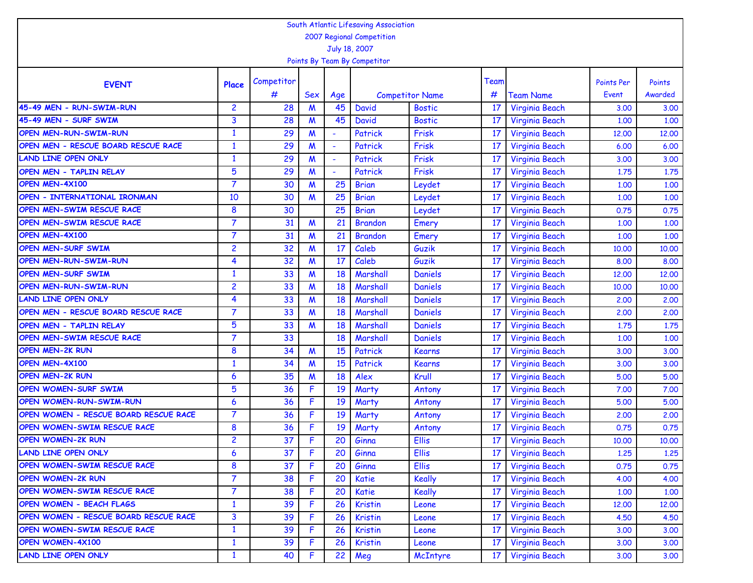| South Atlantic Lifesaving Association<br>2007 Regional Competition |                |            |                           |                          |                              |                        |      |                       |                   |         |  |  |
|--------------------------------------------------------------------|----------------|------------|---------------------------|--------------------------|------------------------------|------------------------|------|-----------------------|-------------------|---------|--|--|
|                                                                    |                |            |                           |                          |                              |                        |      |                       |                   |         |  |  |
|                                                                    |                |            |                           |                          | July 18, 2007                |                        |      |                       |                   |         |  |  |
|                                                                    |                |            |                           |                          | Points By Team By Competitor |                        |      |                       |                   |         |  |  |
| <b>EVENT</b>                                                       | Place          | Competitor |                           |                          |                              |                        | Team |                       | <b>Points Per</b> | Points  |  |  |
|                                                                    |                | #          | <b>Sex</b>                | Age                      |                              | <b>Competitor Name</b> | #    | <b>Team Name</b>      | Event             | Awarded |  |  |
| 45-49 MEN - RUN-SWIM-RUN                                           | $\overline{2}$ | 28         | M                         | 45                       | <b>David</b>                 | <b>Bostic</b>          | 17   | Virginia Beach        | 3,00              | 3.00    |  |  |
| 45-49 MEN - SURF SWIM                                              | 3              | 28         | M                         | 45                       | <b>David</b>                 | <b>Bostic</b>          | 17   | Virginia Beach        | 1.00              | 1.00    |  |  |
| <b>OPEN MEN-RUN-SWIM-RUN</b>                                       | $\mathbf{1}$   | 29         | M                         | ۰                        | Patrick                      | Frisk                  | 17   | <b>Virginia Beach</b> | 12,00             | 12,00   |  |  |
| OPEN MEN - RESCUE BOARD RESCUE RACE                                | $\mathbf{1}$   | 29         | $\boldsymbol{M}$          | ÷                        | Patrick                      | Frisk                  | 17   | <b>Virginia Beach</b> | 6.00              | 6.00    |  |  |
| <b>LAND LINE OPEN ONLY</b>                                         | $\mathbf{1}$   | 29         | M                         | $\overline{\phantom{a}}$ | Patrick                      | Frisk                  | 17   | Virginia Beach        | 3,00              | 3.00    |  |  |
| OPEN MEN - TAPLIN RELAY                                            | 5              | 29         | M                         |                          | Patrick                      | Frisk                  | 17   | Virginia Beach        | 1.75              | 1.75    |  |  |
| OPEN MEN-4X100                                                     | $\overline{7}$ | 30         | M                         | 25                       | <b>Brian</b>                 | Leydet                 | 17   | Virginia Beach        | 1,00              | 1.00    |  |  |
| OPEN - INTERNATIONAL IRONMAN                                       | 10             | 30         | $\boldsymbol{M}$          | 25                       | <b>Brian</b>                 | Leydet                 | 17   | Virginia Beach        | 1.00              | 1.00    |  |  |
| OPEN MEN-SWIM RESCUE RACE                                          | 8              | 30         |                           | 25                       | <b>Brian</b>                 | Leydet                 | 17   | <b>Virginia Beach</b> | 0.75              | 0.75    |  |  |
| OPEN MEN-SWIM RESCUE RACE                                          | $\overline{7}$ | 31         | M                         | 21                       | <b>Brandon</b>               | Emery                  | 17   | Virginia Beach        | 1.00              | 1.00    |  |  |
| OPEN MEN-4X100                                                     | $\overline{7}$ | 31         | M                         | 21                       | <b>Brandon</b>               | Emery                  | 17   | <b>Virginia Beach</b> | 1.00              | 1.00    |  |  |
| OPEN MEN-SURF SWIM                                                 | 2              | 32         | $\boldsymbol{\mathsf{M}}$ | 17                       | Caleb                        | Guzik                  | 17   | <b>Virginia Beach</b> | 10,00             | 10.00   |  |  |
| <b>OPEN MEN-RUN-SWIM-RUN</b>                                       | 4              | 32         | M                         | 17                       | Caleb                        | Guzik                  | 17   | Virginia Beach        | 8.00              | 8.00    |  |  |
| <b>OPEN MEN-SURF SWIM</b>                                          | $\mathbf{1}$   | 33         | M                         | 18                       | Marshall                     | <b>Daniels</b>         | 17   | Virginia Beach        | 12,00             | 12,00   |  |  |
| <b>OPEN MEN-RUN-SWIM-RUN</b>                                       | $\overline{c}$ | 33         | M                         | 18                       | Marshall                     | Daniels                | 17   | Virginia Beach        | 10,00             | 10,00   |  |  |
| <b>LAND LINE OPEN ONLY</b>                                         | 4              | 33         | M                         | 18                       | Marshall                     | <b>Daniels</b>         | 17   | Virginia Beach        | 2,00              | 2,00    |  |  |
| OPEN MEN - RESCUE BOARD RESCUE RACE                                | $\overline{7}$ | 33         | M                         | 18                       | Marshall                     | <b>Daniels</b>         | 17   | Virginia Beach        | 2,00              | 2.00    |  |  |
| OPEN MEN - TAPLIN RELAY                                            | 5              | 33         | M                         | 18                       | Marshall                     | <b>Daniels</b>         | 17   | Virginia Beach        | 1.75              | 1.75    |  |  |
| OPEN MEN-SWIM RESCUE RACE                                          | $\overline{7}$ | 33         |                           | 18                       | Marshall                     | Daniels                | 17   | <b>Virginia Beach</b> | 1.00              | 1.00    |  |  |
| <b>OPEN MEN-2K RUN</b>                                             | 8              | 34         | M                         | 15                       | Patrick                      | Kearns                 | 17   | Virginia Beach        | 3,00              | 3.00    |  |  |
| OPEN MEN-4X100                                                     | $\mathbf{1}$   | 34         | M                         | 15                       | Patrick                      | <b>Kearns</b>          | 17   | Virginia Beach        | 3.00              | 3.00    |  |  |
| <b>OPEN MEN-2K RUN</b>                                             | 6              | 35         | M                         | 18                       | Alex                         | Krull                  | 17   | Virginia Beach        | 5.00              | 5.00    |  |  |
| <b>OPEN WOMEN-SURF SWIM</b>                                        | 5              | 36         | F                         | 19                       | Marty                        | Antony                 | 17   | Virginia Beach        | 7.00              | 7.00    |  |  |
| OPEN WOMEN-RUN-SWIM-RUN                                            | 6              | 36         | F                         | 19                       | Marty                        | Antony                 | 17   | Virginia Beach        | 5.00              | 5.00    |  |  |
| OPEN WOMEN - RESCUE BOARD RESCUE RACE                              | $\overline{7}$ | 36         | F                         | 19                       | Marty                        | Antony                 | 17   | Virginia Beach        | 2.00              | 2.00    |  |  |
| OPEN WOMEN-SWIM RESCUE RACE                                        | 8              | 36         | F                         | 19                       | Marty                        | Antony                 | 17   | Virginia Beach        | 0.75              | 0.75    |  |  |
| <b>OPEN WOMEN-2K RUN</b>                                           | $\overline{c}$ | 37         | F                         | 20                       | Ginna                        | <b>Ellis</b>           | 17   | Virginia Beach        | 10,00             | 10.00   |  |  |
| <b>LAND LINE OPEN ONLY</b>                                         | 6              | 37         | F.                        | 20                       | Ginna                        | Ellis                  | 17   | Virginia Beach        | 1.25              | 1,25    |  |  |
| OPEN WOMEN-SWIM RESCUE RACE                                        | 8              | 37         | F.                        | 20                       | Ginna                        | <b>Ellis</b>           | 17   | Virginia Beach        | 0.75              | 0.75    |  |  |
| <b>OPEN WOMEN-2K RUN</b>                                           | $\overline{7}$ | 38         | F.                        | 20                       | Katie                        | <b>Keally</b>          | 17   | Virginia Beach        | 4.00              | 4.00    |  |  |
| OPEN WOMEN-SWIM RESCUE RACE                                        | $\overline{7}$ | 38         | F                         | 20                       | Katie                        | <b>Keally</b>          | 17   | Virginia Beach        | 1.00              | 1.00    |  |  |
| <b>OPEN WOMEN - BEACH FLAGS</b>                                    | $\mathbf{1}$   | 39         | F.                        | 26                       | <b>Kristin</b>               | Leone                  | 17   | Virginia Beach        | 12,00             | 12,00   |  |  |
| OPEN WOMEN - RESCUE BOARD RESCUE RACE                              | 3              | 39         | F.                        | 26                       | Kristin                      | Leone                  | 17   | Virginia Beach        | 4.50              | 4.50    |  |  |
| OPEN WOMEN-SWIM RESCUE RACE                                        | $\mathbf{1}$   | 39         | F                         | 26                       | Kristin                      | Leone                  | 17   | Virginia Beach        | 3.00              | 3.00    |  |  |
| OPEN WOMEN-4X100                                                   | $\mathbf{1}$   | 39         | F.                        | 26                       | Kristin                      | Leone                  | 17   | Virginia Beach        | 3.00              | 3.00    |  |  |
| <b>LAND LINE OPEN ONLY</b>                                         | $\mathbf{1}$   | 40         | F.                        | 22                       | Meg                          | McIntyre               | 17   | Virginia Beach        | 3.00              | 3.00    |  |  |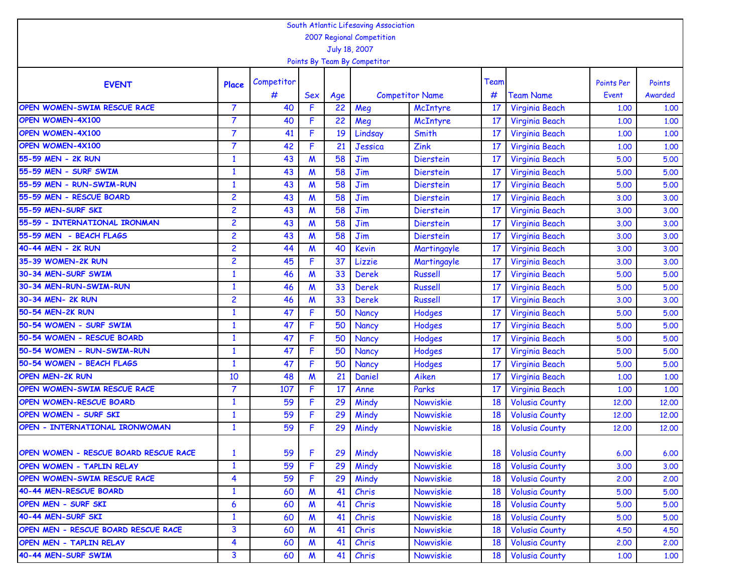|                                       |                                            |            |                  |     | South Atlantic Lifesaving Association |                        |      |                       |                   |         |  |  |  |
|---------------------------------------|--------------------------------------------|------------|------------------|-----|---------------------------------------|------------------------|------|-----------------------|-------------------|---------|--|--|--|
|                                       | 2007 Regional Competition<br>July 18, 2007 |            |                  |     |                                       |                        |      |                       |                   |         |  |  |  |
|                                       |                                            |            |                  |     |                                       |                        |      |                       |                   |         |  |  |  |
|                                       |                                            |            |                  |     | Points By Team By Competitor          |                        |      |                       |                   |         |  |  |  |
|                                       |                                            | Competitor |                  |     |                                       |                        | Team |                       | <b>Points Per</b> | Points  |  |  |  |
| <b>EVENT</b>                          | Place                                      | #          | Sex              | Age |                                       | <b>Competitor Name</b> | #    | <b>Team Name</b>      | Event             | Awarded |  |  |  |
| OPEN WOMEN-SWIM RESCUE RACE           | $\overline{7}$                             | 40         | F                | 22  | Meg                                   | McIntyre               | 17   | Virginia Beach        | 1,00              | 1.00    |  |  |  |
| <b>OPEN WOMEN-4X100</b>               | 7                                          | 40         | F                | 22  | Meg                                   | McIntyre               | 17   | Virginia Beach        | 1,00              | 1.00    |  |  |  |
| <b>OPEN WOMEN-4X100</b>               | $\overline{7}$                             | 41         | F                | 19  | Lindsay                               | Smith                  | 17   | Virginia Beach        | 1,00              | 1.00    |  |  |  |
| OPEN WOMEN-4X100                      | 7                                          | 42         | F                | 21  | Jessica                               | Zink                   | 17   | Virginia Beach        | 1.00              | 1.00    |  |  |  |
| 55-59 MEN - 2K RUN                    | $\mathbf{1}$                               | 43         | $\boldsymbol{M}$ | 58  | Jim                                   | <b>Dierstein</b>       | 17   | <b>Virginia Beach</b> | 5.00              | 5.00    |  |  |  |
| 55-59 MEN - SURF SWIM                 | $\mathbf{1}$                               | 43         | M                | 58  | Jim                                   | <b>Dierstein</b>       | 17   | Virginia Beach        | 5.00              | 5.00    |  |  |  |
| 55-59 MEN - RUN-SWIM-RUN              | $\mathbf{1}$                               | 43         | M                | 58  | Jim                                   | Dierstein              | 17   | Virginia Beach        | 5.00              | 5.00    |  |  |  |
| 55-59 MEN - RESCUE BOARD              | $\overline{c}$                             | 43         | M                | 58  | Jim                                   | Dierstein              | 17   | Virginia Beach        | 3,00              | 3.00    |  |  |  |
| 55-59 MEN-SURF SKI                    | $\overline{c}$                             | 43         | M                | 58  | Jim                                   | Dierstein              | 17   | Virginia Beach        | 3,00              | 3.00    |  |  |  |
| 55-59 - INTERNATIONAL IRONMAN         | $\overline{c}$                             | 43         | M                | 58  | Jim                                   | <b>Dierstein</b>       | 17   | Virginia Beach        | 3,00              | 3.00    |  |  |  |
| 55-59 MEN - BEACH FLAGS               | $\overline{c}$                             | 43         | $\boldsymbol{M}$ | 58  | Jim                                   | Dierstein              | 17   | Virginia Beach        | 3.00              | 3.00    |  |  |  |
| 40-44 MEN - 2K RUN                    | $\overline{c}$                             | 44         | $\boldsymbol{M}$ | 40  | Kevin                                 | Martingayle            | 17   | Virginia Beach        | 3,00              | 3.00    |  |  |  |
| 35-39 WOMEN-2K RUN                    | $\overline{c}$                             | 45         | F.               | 37  | Lizzie                                | Martingayle            | 17   | <b>Virginia Beach</b> | 3,00              | 3.00    |  |  |  |
| 30-34 MEN-SURF SWIM                   | 1                                          | 46         | $\boldsymbol{M}$ | 33  | <b>Derek</b>                          | <b>Russell</b>         | 17   | Virginia Beach        | 5.00              | 5.00    |  |  |  |
| 30-34 MEN-RUN-SWIM-RUN                | $\mathbf{1}$                               | 46         | $\boldsymbol{M}$ | 33  | <b>Derek</b>                          | <b>Russell</b>         | 17   | Virginia Beach        | 5.00              | 5.00    |  |  |  |
| 30-34 MEN- 2K RUN                     | $\overline{c}$                             | 46         | M                | 33  | <b>Derek</b>                          | <b>Russell</b>         | 17   | Virginia Beach        | 3,00              | 3.00    |  |  |  |
| 50-54 MEN-2K RUN                      | $\mathbf{1}$                               | 47         | F                | 50  | Nancy                                 | Hodges                 | 17   | Virginia Beach        | 5.00              | 5.00    |  |  |  |
| 50-54 WOMEN - SURF SWIM               | 1                                          | 47         | F.               | 50  | Nancy                                 | <b>Hodges</b>          | 17   | Virginia Beach        | 5.00              | 5.00    |  |  |  |
| 50-54 WOMEN - RESCUE BOARD            | 1                                          | 47         | F                | 50  | Nancy                                 | Hodges                 | 17   | Virginia Beach        | 5.00              | 5.00    |  |  |  |
| 50-54 WOMEN - RUN-SWIM-RUN            | $\mathbf{1}$                               | 47         | F                | 50  | Nancy                                 | Hodges                 | 17   | Virginia Beach        | 5.00              | 5.00    |  |  |  |
| 50-54 WOMEN - BEACH FLAGS             | $\mathbf{1}$                               | 47         | F                | 50  | Nancy                                 | Hodges                 | 17   | Virginia Beach        | 5.00              | 5.00    |  |  |  |
| <b>OPEN MEN-2K RUN</b>                | 10                                         | 48         | $\boldsymbol{M}$ | 21  | Daniel                                | Aiken                  | 17   | Virginia Beach        | 1.00              | 1.00    |  |  |  |
| OPEN WOMEN-SWIM RESCUE RACE           | 7                                          | 107        | F.               | 17  | Anne                                  | Parks                  | 17   | Virginia Beach        | 1,00              | 1.00    |  |  |  |
| OPEN WOMEN-RESCUE BOARD               | $\mathbf{1}$                               | 59         | F                | 29  | Mindy                                 | Nowviskie              | 18   | <b>Volusia County</b> | 12.00             | 12,00   |  |  |  |
| OPEN WOMEN - SURF SKI                 | $\mathbf{1}$                               | 59         | F                | 29  | Mindy                                 | Nowviskie              | 18   | <b>Volusia County</b> | 12,00             | 12,00   |  |  |  |
| OPEN - INTERNATIONAL IRONWOMAN        | 1                                          | 59         | F                | 29  | Mindy                                 | Nowviskie              | 18   | <b>Volusia County</b> | 12,00             | 12,00   |  |  |  |
|                                       |                                            |            |                  |     |                                       |                        |      |                       |                   |         |  |  |  |
| OPEN WOMEN - RESCUE BOARD RESCUE RACE | $\mathbf{1}$                               | 59         | F                | 29  | Mindy                                 | Nowviskie              | 18   | <b>Volusia County</b> | 6.00              | 6.00    |  |  |  |
| <b>OPEN WOMEN - TAPLIN RELAY</b>      | $\mathbf{1}$                               | 59         | F                | 29  | Mindy                                 | Nowviskie              | 18   | <b>Volusia County</b> | 3.00              | 3.00    |  |  |  |
| OPEN WOMEN-SWIM RESCUE RACE           | 4                                          | 59         | F                | 29  | Mindy                                 | Nowviskie              | 18   | <b>Volusia County</b> | 2.00              | 2.00    |  |  |  |
| 40-44 MEN-RESCUE BOARD                | $\mathbf{1}$                               | 60         | M                | 41  | Chris                                 | Nowviskie              | 18   | <b>Volusia County</b> | 5.00              | 5.00    |  |  |  |
| OPEN MEN - SURF SKI                   | 6                                          | 60         | M                | 41  | Chris                                 | Nowviskie              | 18   | <b>Volusia County</b> | 5.00              | 5.00    |  |  |  |
| 40-44 MEN-SURF SKI                    | $\mathbf{1}$                               | 60         | M                | 41  | Chris                                 | Nowviskie              | 18   | <b>Volusia County</b> | 5.00              | 5.00    |  |  |  |
| OPEN MEN - RESCUE BOARD RESCUE RACE   | 3                                          | 60         | M                | 41  | Chris                                 | Nowviskie              | 18   | <b>Volusia County</b> | 4.50              | 4.50    |  |  |  |
| OPEN MEN - TAPLIN RELAY               | 4                                          | 60         | M                | 41  | Chris                                 | Nowviskie              | 18   | <b>Volusia County</b> | 2,00              | 2,00    |  |  |  |
| 40-44 MEN-SURF SWIM                   | 3                                          | 60         | M                | 41  | Chris                                 | Nowviskie              | 18   | <b>Volusia County</b> | 1.00              | 1.00    |  |  |  |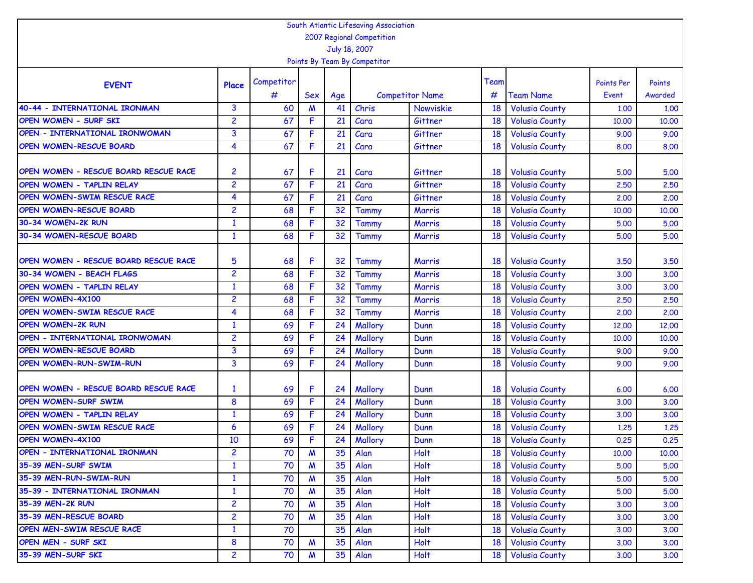| South Atlantic Lifesaving Association<br>2007 Regional Competition |                |            |            |     |                              |                        |      |                       |                   |         |  |  |  |
|--------------------------------------------------------------------|----------------|------------|------------|-----|------------------------------|------------------------|------|-----------------------|-------------------|---------|--|--|--|
|                                                                    |                |            |            |     |                              |                        |      |                       |                   |         |  |  |  |
|                                                                    |                |            |            |     | July 18, 2007                |                        |      |                       |                   |         |  |  |  |
|                                                                    |                |            |            |     | Points By Team By Competitor |                        |      |                       |                   |         |  |  |  |
|                                                                    |                | Competitor |            |     |                              |                        | Team |                       | <b>Points Per</b> | Points  |  |  |  |
| <b>EVENT</b>                                                       | Place          | #          | <b>Sex</b> | Age |                              | <b>Competitor Name</b> | #    | <b>Team Name</b>      | Event             | Awarded |  |  |  |
| 40-44 - INTERNATIONAL IRONMAN                                      | 3              | 60         | M          | 41  | Chris                        | Nowviskie              | 18   | <b>Volusia County</b> | 1.00              | 1.00    |  |  |  |
| OPEN WOMEN - SURF SKI                                              | 2              | 67         | F          | 21  | Cara                         | Gittner                | 18   | <b>Volusia County</b> | 10,00             | 10,00   |  |  |  |
| OPEN - INTERNATIONAL IRONWOMAN                                     | 3              | 67         | F          | 21  | Cara                         | Gittner                | 18   | <b>Volusia County</b> | 9.00              | 9.00    |  |  |  |
| <b>OPEN WOMEN-RESCUE BOARD</b>                                     | 4              | 67         | F          | 21  | Cara                         | Gittner                | 18   | <b>Volusia County</b> | 8.00              | 8.00    |  |  |  |
|                                                                    |                |            |            |     |                              |                        |      |                       |                   |         |  |  |  |
| OPEN WOMEN - RESCUE BOARD RESCUE RACE                              | 2              | 67         | F          | 21  | Cara                         | Gittner                | 18   | <b>Volusia County</b> | 5.00              | 5.00    |  |  |  |
| OPEN WOMEN - TAPLIN RELAY                                          | $\overline{c}$ | 67         | F          | 21  | Cara                         | Gittner                | 18   | <b>Volusia County</b> | 2.50              | 2.50    |  |  |  |
| OPEN WOMEN-SWIM RESCUE RACE                                        | 4              | 67         | F          | 21  | Cara                         | Gittner                | 18   | <b>Volusia County</b> | 2,00              | 2,00    |  |  |  |
| OPEN WOMEN-RESCUE BOARD                                            | $\overline{c}$ | 68         | F          | 32  | Tammy                        | Marris                 | 18   | <b>Volusia County</b> | 10,00             | 10,00   |  |  |  |
| 30-34 WOMEN-2K RUN                                                 | $\mathbf{1}$   | 68         | F.         | 32  | Tammy                        | Marris                 | 18   | <b>Volusia County</b> | 5.00              | 5.00    |  |  |  |
| 30-34 WOMEN-RESCUE BOARD                                           | $\mathbf{1}$   | 68         | F          | 32  | Tammy                        | Marris                 | 18   | <b>Volusia County</b> | 5.00              | 5.00    |  |  |  |
|                                                                    |                |            |            |     |                              |                        |      |                       |                   |         |  |  |  |
| OPEN WOMEN - RESCUE BOARD RESCUE RACE                              | 5              | 68         | F          | 32  | Tammy                        | Marris                 | 18   | <b>Volusia County</b> | 3.50              | 3.50    |  |  |  |
| 30-34 WOMEN - BEACH FLAGS                                          | $\overline{c}$ | 68         | F.         | 32  | <b>Tammy</b>                 | Marris                 | 18   | <b>Volusia County</b> | 3,00              | 3.00    |  |  |  |
| <b>OPEN WOMEN - TAPLIN RELAY</b>                                   | $\mathbf{1}$   | 68         | F          | 32  | Tammy                        | <b>Marris</b>          | 18   | <b>Volusia County</b> | 3,00              | 3.00    |  |  |  |
| <b>OPEN WOMEN-4X100</b>                                            | $\overline{c}$ | 68         | F          | 32  | <b>Tammy</b>                 | <b>Marris</b>          | 18   | <b>Volusia County</b> | 2.50              | 2.50    |  |  |  |
| OPEN WOMEN-SWIM RESCUE RACE                                        | 4              | 68         | F          | 32  | <b>Tammy</b>                 | Marris                 | 18   | <b>Volusia County</b> | 2,00              | 2.00    |  |  |  |
| <b>OPEN WOMEN-2K RUN</b>                                           | $\mathbf{1}$   | 69         | F          | 24  | Mallory                      | Dunn                   | 18   | <b>Volusia County</b> | 12,00             | 12,00   |  |  |  |
| OPEN - INTERNATIONAL IRONWOMAN                                     | 2              | 69         | F          | 24  | Mallory                      | Dunn                   | 18   | <b>Volusia County</b> | 10,00             | 10,00   |  |  |  |
| OPEN WOMEN-RESCUE BOARD                                            | 3              | 69         | F          | 24  | Mallory                      | Dunn                   | 18   | <b>Volusia County</b> | 9.00              | 9.00    |  |  |  |
| OPEN WOMEN-RUN-SWIM-RUN                                            | 3              | 69         | F          | 24  | Mallory                      | Dunn                   | 18   | <b>Volusia County</b> | 9.00              | 9.00    |  |  |  |
| OPEN WOMEN - RESCUE BOARD RESCUE RACE                              | $\mathbf{1}$   | 69         | F          | 24  | Mallory                      | Dunn                   | 18   | <b>Volusia County</b> | 6.00              | 6.00    |  |  |  |
| <b>OPEN WOMEN-SURF SWIM</b>                                        | 8              | 69         | F          | 24  | Mallory                      | Dunn                   | 18   | <b>Volusia County</b> | 3,00              | 3.00    |  |  |  |
| OPEN WOMEN - TAPLIN RELAY                                          | $\mathbf{1}$   | 69         | F          | 24  | Mallory                      | Dunn                   | 18   | <b>Volusia County</b> | 3,00              | 3.00    |  |  |  |
| OPEN WOMEN-SWIM RESCUE RACE                                        | 6              | 69         | F          | 24  | Mallory                      | Dunn                   | 18   | <b>Volusia County</b> | 1.25              | 1.25    |  |  |  |
| <b>OPEN WOMEN-4X100</b>                                            | 10             | 69         | F          | 24  | Mallory                      | Dunn                   | 18   | <b>Volusia County</b> | 0.25              | 0.25    |  |  |  |
| OPEN - INTERNATIONAL IRONMAN                                       | $\overline{2}$ | 70         | M          | 35  | Alan                         | Holt                   | 18   | <b>Volusia County</b> | 10.00             | 10.00   |  |  |  |
| 35-39 MEN-SURF SWIM                                                | $\mathbf{1}$   | 70         | M          | 35  | Alan                         | Holt                   | 18   | <b>Volusia County</b> | 5.00              | 5.00    |  |  |  |
| 35-39 MEN-RUN-SWIM-RUN                                             | $\mathbf{1}$   | 70         | M          | 35  | Alan                         | Holt                   | 18   | <b>Volusia County</b> | 5.00              | 5.00    |  |  |  |
| 35-39 - INTERNATIONAL IRONMAN                                      | $\mathbf{1}$   | 70         | M          | 35  | Alan                         | Holt                   | 18   | <b>Volusia County</b> | 5.00              | 5.00    |  |  |  |
| <b>35-39 MEN-2K RUN</b>                                            | $\overline{2}$ | 70         | M          | 35  | Alan                         | Holt                   | 18   | <b>Volusia County</b> | 3.00              | 3.00    |  |  |  |
| 35-39 MEN-RESCUE BOARD                                             | $\overline{2}$ | 70         | M          | 35  | Alan                         | Holt                   | 18   | <b>Volusia County</b> | 3.00              | 3.00    |  |  |  |
| OPEN MEN-SWIM RESCUE RACE                                          | $\mathbf{1}$   | 70         |            | 35  | Alan                         | Holt                   | 18   | <b>Volusia County</b> | 3.00              | 3.00    |  |  |  |
| OPEN MEN - SURF SKI                                                | 8              | 70         | M          | 35  | Alan                         | Holt                   | 18   | <b>Volusia County</b> | 3.00              | 3.00    |  |  |  |
| 35-39 MEN-SURF SKI                                                 | $\overline{c}$ | 70         | M          | 35  | Alan                         | <b>Holt</b>            | 18   | <b>Volusia County</b> | 3.00              | 3,00    |  |  |  |
|                                                                    |                |            |            |     |                              |                        |      |                       |                   |         |  |  |  |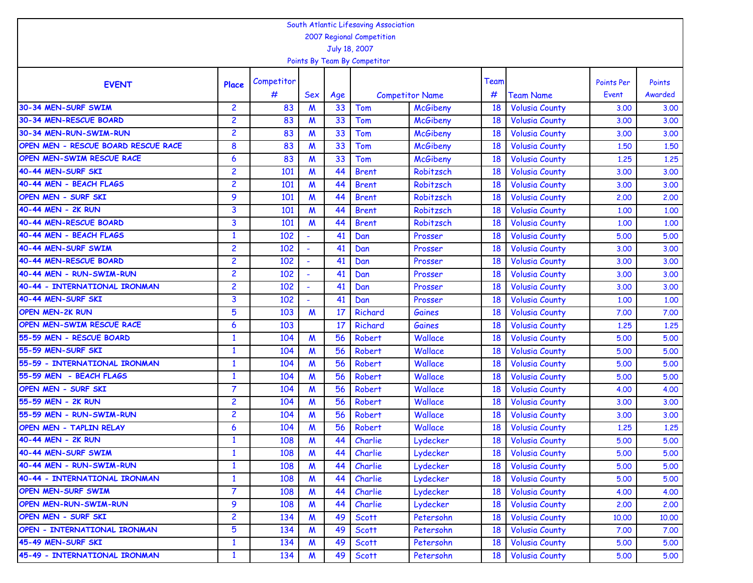| South Atlantic Lifesaving Association |                |            |                  |     |                        |                 |      |                       |                   |         |  |
|---------------------------------------|----------------|------------|------------------|-----|------------------------|-----------------|------|-----------------------|-------------------|---------|--|
| 2007 Regional Competition             |                |            |                  |     |                        |                 |      |                       |                   |         |  |
| July 18, 2007                         |                |            |                  |     |                        |                 |      |                       |                   |         |  |
| Points By Team By Competitor          |                |            |                  |     |                        |                 |      |                       |                   |         |  |
| <b>EVENT</b>                          | Place          | Competitor |                  |     |                        |                 | Team |                       | <b>Points Per</b> | Points  |  |
|                                       |                | #          | Sex              | Age | <b>Competitor Name</b> |                 | #    | <b>Team Name</b>      | Event             | Awarded |  |
| 30-34 MEN-SURF SWIM                   | $\overline{2}$ | 83         | M                | 33  | Tom                    | <b>McGibeny</b> | 18   | <b>Volusia County</b> | 3.00              | 3.00    |  |
| 30-34 MEN-RESCUE BOARD                | $\overline{c}$ | 83         | $\boldsymbol{M}$ | 33  | Tom                    | <b>McGibeny</b> | 18   | <b>Volusia County</b> | 3.00              | 3.00    |  |
| 30-34 MEN-RUN-SWIM-RUN                | $\overline{c}$ | 83         | M                | 33  | Tom                    | <b>McGibeny</b> | 18   | <b>Volusia County</b> | 3,00              | 3.00    |  |
| OPEN MEN - RESCUE BOARD RESCUE RACE   | 8              | 83         | M                | 33  | Tom                    | <b>McGibeny</b> | 18   | <b>Volusia County</b> | 1,50              | 1.50    |  |
| OPEN MEN-SWIM RESCUE RACE             | 6              | 83         | M                | 33  | Tom                    | <b>McGibeny</b> | 18   | <b>Volusia County</b> | 1.25              | 1.25    |  |
| 40-44 MEN-SURF SKI                    | $\overline{c}$ | 101        | M                | 44  | <b>Brent</b>           | Robitzsch       | 18   | <b>Volusia County</b> | 3.00              | 3.00    |  |
| 40-44 MEN - BEACH FLAGS               | $\overline{c}$ | 101        | M                | 44  | <b>Brent</b>           | Robitzsch       | 18   | <b>Volusia County</b> | 3,00              | 3.00    |  |
| <b>OPEN MEN - SURF SKI</b>            | 9              | 101        | M                | 44  | <b>Brent</b>           | Robitzsch       | 18   | <b>Volusia County</b> | 2,00              | 2.00    |  |
| 40-44 MEN - 2K RUN                    | 3              | 101        | M                | 44  | <b>Brent</b>           | Robitzsch       | 18   | <b>Volusia County</b> | 1,00              | 1.00    |  |
| 40-44 MEN-RESCUE BOARD                | 3              | 101        | M                | 44  | <b>Brent</b>           | Robitzsch       | 18   | <b>Volusia County</b> | 1,00              | 1.00    |  |
| 40-44 MEN - BEACH FLAGS               | $\mathbf{1}$   | 102        |                  | 41  | Dan                    | Prosser         | 18   | <b>Volusia County</b> | 5.00              | 5.00    |  |
| 40-44 MEN-SURF SWIM                   | $\overline{c}$ | 102        |                  | 41  | Dan                    | Prosser         | 18   | <b>Volusia County</b> | 3.00              | 3.00    |  |
| 40-44 MEN-RESCUE BOARD                | $\overline{c}$ | 102        |                  | 41  | Dan                    | Prosser         | 18   | <b>Volusia County</b> | 3,00              | 3.00    |  |
| 40-44 MEN - RUN-SWIM-RUN              | $\overline{c}$ | 102        |                  | 41  | Dan                    | Prosser         | 18   | <b>Volusia County</b> | 3,00              | 3.00    |  |
| 40-44 - INTERNATIONAL IRONMAN         | $\overline{c}$ | 102        |                  | 41  | Dan                    | Prosser         | 18   | <b>Volusia County</b> | 3,00              | 3.00    |  |
| 40-44 MEN-SURF SKI                    | 3              | 102        |                  | 41  | Dan                    | Prosser         | 18   | <b>Volusia County</b> | 1,00              | 1.00    |  |
| <b>OPEN MEN-2K RUN</b>                | 5              | 103        | M                | 17  | Richard                | Gaines          | 18   | <b>Volusia County</b> | 7.00              | 7.00    |  |
| OPEN MEN-SWIM RESCUE RACE             | 6              | 103        |                  | 17  | Richard                | Gaines          | 18   | <b>Volusia County</b> | 1.25              | 1.25    |  |
| 55-59 MEN - RESCUE BOARD              | $\mathbf{1}$   | 104        | M                | 56  | <b>Robert</b>          | Wallace         | 18   | <b>Volusia County</b> | 5.00              | 5.00    |  |
| 55-59 MEN-SURF SKI                    | $\mathbf{1}$   | 104        | M                | 56  | <b>Robert</b>          | Wallace         | 18   | <b>Volusia County</b> | 5.00              | 5.00    |  |
| 55-59 - INTERNATIONAL IRONMAN         | $\mathbf{1}$   | 104        | $\boldsymbol{M}$ | 56  | <b>Robert</b>          | Wallace         | 18   | <b>Volusia County</b> | 5.00              | 5.00    |  |
| 55-59 MEN - BEACH FLAGS               | $\mathbf{1}$   | 104        | M                | 56  | <b>Robert</b>          | Wallace         | 18   | <b>Volusia County</b> | 5.00              | 5.00    |  |
| <b>OPEN MEN - SURF SKI</b>            | $\overline{7}$ | 104        | M                | 56  | <b>Robert</b>          | Wallace         | 18   | <b>Volusia County</b> | 4.00              | 4.00    |  |
| 55-59 MEN - 2K RUN                    | $\overline{c}$ | 104        | M                | 56  | <b>Robert</b>          | Wallace         | 18   | <b>Volusia County</b> | 3,00              | 3.00    |  |
| 55-59 MEN - RUN-SWIM-RUN              | $\overline{c}$ | 104        | M                | 56  | <b>Robert</b>          | Wallace         | 18   | <b>Volusia County</b> | 3,00              | 3.00    |  |
| <b>OPEN MEN - TAPLIN RELAY</b>        | 6              | 104        | M                | 56  | <b>Robert</b>          | Wallace         | 18   | <b>Volusia County</b> | 1.25              | 1.25    |  |
| 40-44 MEN - 2K RUN                    | 1              | 108        | M                | 44  | Charlie                | Lydecker        | 18   | <b>Volusia County</b> | 5.00              | 5.00    |  |
| 40-44 MEN-SURF SWIM                   | $\mathbf{1}$   | 108        | $\boldsymbol{M}$ | 44  | Charlie                | Lydecker        | 18   | <b>Volusia County</b> | 5.00              | 5.00    |  |
| 40-44 MEN - RUN-SWIM-RUN              | $\mathbf{1}$   | 108        | $\boldsymbol{M}$ | 44  | Charlie                | Lydecker        | 18   | <b>Volusia County</b> | 5.00              | 5.00    |  |
| 40-44 - INTERNATIONAL IRONMAN         | $\mathbf{1}$   | 108        | $\boldsymbol{M}$ | 44  | Charlie                | Lydecker        | 18   | <b>Volusia County</b> | 5.00              | 5.00    |  |
| OPEN MEN-SURF SWIM                    | $\overline{7}$ | 108        | $\boldsymbol{M}$ | 44  | Charlie                | Lydecker        | 18   | <b>Volusia County</b> | 4.00              | 4.00    |  |
| <b>OPEN MEN-RUN-SWIM-RUN</b>          | 9              | 108        | M                | 44  | Charlie                | Lydecker        | 18   | <b>Volusia County</b> | 2,00              | 2,00    |  |
| OPEN MEN - SURF SKI                   | $\overline{2}$ | 134        | $\boldsymbol{M}$ | 49  | <b>Scott</b>           | Petersohn       | 18   | <b>Volusia County</b> | 10.00             | 10,00   |  |
| OPEN - INTERNATIONAL IRONMAN          | 5              | 134        | M                | 49  | <b>Scott</b>           | Petersohn       | 18   | <b>Volusia County</b> | 7.00              | 7.00    |  |
| 45-49 MEN-SURF SKI                    | $\mathbf{1}$   | 134        | M                | 49  | <b>Scott</b>           | Petersohn       | 18   | <b>Volusia County</b> | 5.00              | 5.00    |  |
| 45-49 - INTERNATIONAL IRONMAN         | $\mathbf{1}$   | 134        | M                | 49  | <b>Scott</b>           | Petersohn       | 18   | <b>Volusia County</b> | 5.00              | 5.00    |  |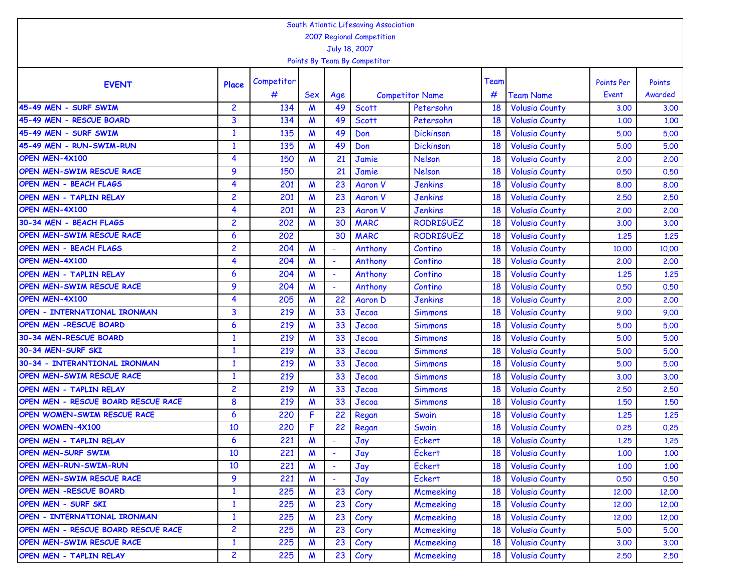| South Atlantic Lifesaving Association |                |            |                  |                          |                        |                  |      |                       |                   |         |  |
|---------------------------------------|----------------|------------|------------------|--------------------------|------------------------|------------------|------|-----------------------|-------------------|---------|--|
| 2007 Regional Competition             |                |            |                  |                          |                        |                  |      |                       |                   |         |  |
| July 18, 2007                         |                |            |                  |                          |                        |                  |      |                       |                   |         |  |
| Points By Team By Competitor          |                |            |                  |                          |                        |                  |      |                       |                   |         |  |
| <b>EVENT</b>                          | Place          | Competitor |                  |                          |                        |                  | Team |                       | <b>Points Per</b> | Points  |  |
|                                       |                | #          | Sex              | Age                      | <b>Competitor Name</b> |                  | #    | <b>Team Name</b>      | Event             | Awarded |  |
| 45-49 MEN - SURF SWIM                 | $\overline{2}$ | 134        | M                | 49                       | <b>Scott</b>           | Petersohn        | 18   | <b>Volusia County</b> | 3.00              | 3.00    |  |
| 45-49 MEN - RESCUE BOARD              | 3              | 134        | M                | 49                       | <b>Scott</b>           | Petersohn        | 18   | <b>Volusia County</b> | 1,00              | 1.00    |  |
| 45-49 MEN - SURF SWIM                 | $\mathbf{1}$   | 135        | M                | 49                       | Don                    | <b>Dickinson</b> | 18   | <b>Volusia County</b> | 5.00              | 5.00    |  |
| 45-49 MEN - RUN-SWIM-RUN              | $\mathbf{1}$   | 135        | $\boldsymbol{M}$ | 49                       | Don                    | <b>Dickinson</b> | 18   | <b>Volusia County</b> | 5.00              | 5.00    |  |
| OPEN MEN-4X100                        | 4              | 150        | $\boldsymbol{M}$ | 21                       | Jamie                  | <b>Nelson</b>    | 18   | <b>Volusia County</b> | 2.00              | 2.00    |  |
| OPEN MEN-SWIM RESCUE RACE             | 9              | 150        |                  | 21                       | Jamie                  | <b>Nelson</b>    | 18   | <b>Volusia County</b> | 0.50              | 0.50    |  |
| <b>OPEN MEN - BEACH FLAGS</b>         | 4              | 201        | M                | 23                       | <b>Aaron V</b>         | <b>Jenkins</b>   | 18   | <b>Volusia County</b> | 8.00              | 8.00    |  |
| OPEN MEN - TAPLIN RELAY               | $\overline{c}$ | 201        | M                | 23                       | <b>Aaron V</b>         | <b>Jenkins</b>   | 18   | <b>Volusia County</b> | 2.50              | 2.50    |  |
| OPEN MEN-4X100                        | 4              | 201        | M                | 23                       | <b>Aaron V</b>         | <b>Jenkins</b>   | 18   | <b>Volusia County</b> | 2,00              | 2.00    |  |
| 30-34 MEN - BEACH FLAGS               | $\overline{c}$ | 202        | M                | 30                       | <b>MARC</b>            | <b>RODRIGUEZ</b> | 18   | <b>Volusia County</b> | 3.00              | 3.00    |  |
| OPEN MEN-SWIM RESCUE RACE             | 6              | 202        |                  | 30                       | <b>MARC</b>            | <b>RODRIGUEZ</b> | 18   | <b>Volusia County</b> | 1.25              | 1.25    |  |
| <b>OPEN MEN - BEACH FLAGS</b>         | $\overline{c}$ | 204        | M                | ÷                        | Anthony                | Contino          | 18   | <b>Volusia County</b> | 10,00             | 10.00   |  |
| OPEN MEN-4X100                        | 4              | 204        | M                | $\blacksquare$           | Anthony                | Contino          | 18   | <b>Volusia County</b> | 2,00              | 2,00    |  |
| OPEN MEN - TAPLIN RELAY               | 6              | 204        | $\boldsymbol{M}$ | $\sim$                   | Anthony                | Contino          | 18   | <b>Volusia County</b> | 1.25              | 1.25    |  |
| OPEN MEN-SWIM RESCUE RACE             | 9              | 204        | M                | $\overline{\phantom{a}}$ | Anthony                | Contino          | 18   | <b>Volusia County</b> | 0.50              | 0.50    |  |
| OPEN MEN-4X100                        | 4              | 205        | $\boldsymbol{M}$ | 22                       | Aaron D                | <b>Jenkins</b>   | 18   | <b>Volusia County</b> | 2.00              | 2.00    |  |
| OPEN - INTERNATIONAL IRONMAN          | 3              | 219        | M                | 33                       | Jecoa                  | <b>Simmons</b>   | 18   | <b>Volusia County</b> | 9.00              | 9.00    |  |
| <b>OPEN MEN -RESCUE BOARD</b>         | 6              | 219        | M                | 33                       | Jecoa                  | <b>Simmons</b>   | 18   | <b>Volusia County</b> | 5.00              | 5.00    |  |
| 30-34 MEN-RESCUE BOARD                | $\mathbf{1}$   | 219        | M                | 33                       | Jecoa                  | <b>Simmons</b>   | 18   | <b>Volusia County</b> | 5.00              | 5.00    |  |
| 30-34 MEN-SURF SKI                    | $\mathbf{1}$   | 219        | M                | 33                       | Jecoa                  | <b>Simmons</b>   | 18   | <b>Volusia County</b> | 5.00              | 5.00    |  |
| 30-34 - INTERANTIONAL IRONMAN         | $\mathbf{1}$   | 219        | M                | 33                       | Jecoa                  | <b>Simmons</b>   | 18   | <b>Volusia County</b> | 5.00              | 5.00    |  |
| OPEN MEN-SWIM RESCUE RACE             | $\mathbf{1}$   | 219        |                  | 33                       | Jecoa                  | <b>Simmons</b>   | 18   | <b>Volusia County</b> | 3,00              | 3.00    |  |
| OPEN MEN - TAPLIN RELAY               | $\overline{c}$ | 219        | M                | 33                       | Jecoa                  | <b>Simmons</b>   | 18   | <b>Volusia County</b> | 2.50              | 2.50    |  |
| OPEN MEN - RESCUE BOARD RESCUE RACE   | 8              | 219        | M                | 33                       | Jecoa                  | <b>Simmons</b>   | 18   | <b>Volusia County</b> | 1.50              | 1.50    |  |
| OPEN WOMEN-SWIM RESCUE RACE           | 6              | 220        | F                | 22                       | Regan                  | Swain            | 18   | <b>Volusia County</b> | 1.25              | 1.25    |  |
| OPEN WOMEN-4X100                      | 10             | 220        | F                | 22                       | Regan                  | Swain            | 18   | <b>Volusia County</b> | 0.25              | 0.25    |  |
| OPEN MEN - TAPLIN RELAY               | 6              | 221        | M                |                          | Jay                    | Eckert           | 18   | <b>Volusia County</b> | 1.25              | 1.25    |  |
| <b>OPEN MEN-SURF SWIM</b>             | 10             | 221        | $\boldsymbol{M}$ | $\sim$                   | Jay                    | Eckert           | 18   | <b>Volusia County</b> | 1,00              | 1.00    |  |
| <b>OPEN MEN-RUN-SWIM-RUN</b>          | 10             | 221        | $\boldsymbol{M}$ |                          | Jay                    | Eckert           | 18   | <b>Volusia County</b> | 1.00              | 1.00    |  |
| OPEN MEN-SWIM RESCUE RACE             | 9              | 221        | $\boldsymbol{M}$ |                          | Jay                    | Eckert           | 18   | <b>Volusia County</b> | 0.50              | 0.50    |  |
| OPEN MEN -RESCUE BOARD                | $\mathbf{1}$   | 225        | $\boldsymbol{M}$ | 23                       | Cory                   | Mcmeeking        | 18   | <b>Volusia County</b> | 12,00             | 12,00   |  |
| OPEN MEN - SURF SKI                   | $\mathbf{1}$   | 225        | M                | 23                       | Cory                   | Mcmeeking        | 18   | <b>Volusia County</b> | 12,00             | 12,00   |  |
| OPEN - INTERNATIONAL IRONMAN          | $\mathbf{1}$   | 225        | $\boldsymbol{M}$ | 23                       | Cory                   | Mcmeeking        | 18   | <b>Volusia County</b> | 12,00             | 12,00   |  |
| OPEN MEN - RESCUE BOARD RESCUE RACE   | $\overline{c}$ | 225        | M                | 23                       | Cory                   | Mcmeeking        | 18   | <b>Volusia County</b> | 5.00              | 5.00    |  |
| OPEN MEN-SWIM RESCUE RACE             | $\mathbf{1}$   | 225        | M                | 23                       | Cory                   | Mcmeeking        | 18   | <b>Volusia County</b> | 3.00              | 3.00    |  |
| OPEN MEN - TAPLIN RELAY               | $\overline{c}$ | 225        | M                | 23                       | Cory                   | Mcmeeking        | 18   | <b>Volusia County</b> | 2,50              | 2,50    |  |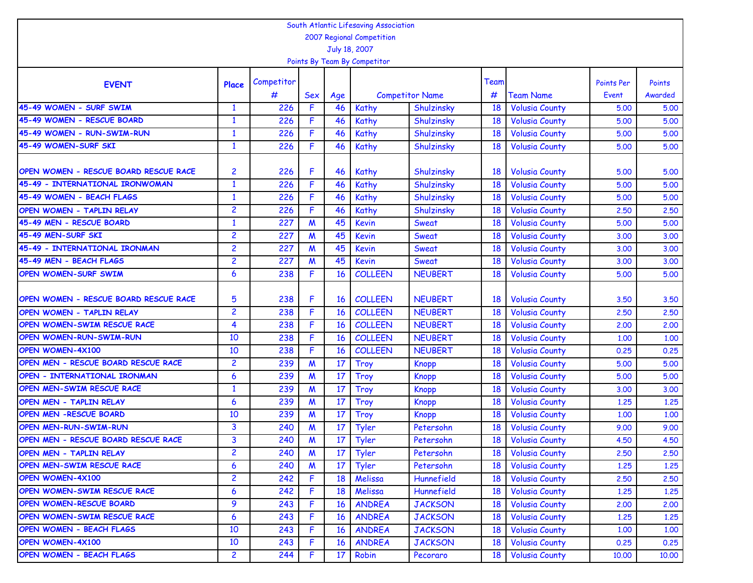| South Atlantic Lifesaving Association |                |            |                  |           |                |                        |      |                       |                   |         |  |
|---------------------------------------|----------------|------------|------------------|-----------|----------------|------------------------|------|-----------------------|-------------------|---------|--|
| 2007 Regional Competition             |                |            |                  |           |                |                        |      |                       |                   |         |  |
| July 18, 2007                         |                |            |                  |           |                |                        |      |                       |                   |         |  |
| Points By Team By Competitor          |                |            |                  |           |                |                        |      |                       |                   |         |  |
|                                       |                | Competitor |                  |           |                |                        | Team |                       | <b>Points Per</b> | Points  |  |
| <b>EVENT</b>                          | Place          | #          | <b>Sex</b>       | Age       |                | <b>Competitor Name</b> | #    | <b>Team Name</b>      | Event             | Awarded |  |
| 45-49 WOMEN - SURF SWIM               | $\mathbf{1}$   | 226        | F                | 46        | Kathy          | Shulzinsky             | 18   | <b>Volusia County</b> | 5.00              | 5.00    |  |
| 45-49 WOMEN - RESCUE BOARD            | $\mathbf{1}$   | 226        | F                | 46        | Kathy          | Shulzinsky             | 18   | <b>Volusia County</b> | 5.00              | 5.00    |  |
| 45-49 WOMEN - RUN-SWIM-RUN            | $\mathbf{1}$   | 226        | F                | 46        | Kathy          | Shulzinsky             | 18   | <b>Volusia County</b> | 5.00              | 5.00    |  |
| 45-49 WOMEN-SURF SKI                  | $\mathbf{1}$   | 226        | F                | 46        | Kathy          | Shulzinsky             | 18   | <b>Volusia County</b> | 5.00              | 5.00    |  |
|                                       |                |            |                  |           |                |                        |      |                       |                   |         |  |
| OPEN WOMEN - RESCUE BOARD RESCUE RACE | 2              | 226        | F                | 46        | Kathy          | Shulzinsky             | 18   | <b>Volusia County</b> | 5.00              | 5.00    |  |
| 45-49 - INTERNATIONAL IRONWOMAN       | $\mathbf{1}$   | 226        | F                | 46        | Kathy          | Shulzinsky             | 18   | <b>Volusia County</b> | 5.00              | 5.00    |  |
| 45-49 WOMEN - BEACH FLAGS             | $\mathbf{1}$   | 226        | F                | 46        | Kathy          | Shulzinsky             | 18   | <b>Volusia County</b> | 5.00              | 5.00    |  |
| <b>OPEN WOMEN - TAPLIN RELAY</b>      | $\overline{c}$ | 226        | F                | 46        | Kathy          | Shulzinsky             | 18   | <b>Volusia County</b> | 2.50              | 2.50    |  |
| 45-49 MEN - RESCUE BOARD              | $\mathbf{1}$   | 227        | M                | 45        | <b>Kevin</b>   | Sweat                  | 18   | <b>Volusia County</b> | 5.00              | 5.00    |  |
| 45-49 MEN-SURF SKI                    | $\overline{c}$ | 227        | M                | 45        | <b>Kevin</b>   | Sweat                  | 18   | <b>Volusia County</b> | 3,00              | 3.00    |  |
| 45-49 - INTERNATIONAL IRONMAN         | 2              | 227        | M                | 45        | <b>Kevin</b>   | Sweat                  | 18   | <b>Volusia County</b> | 3,00              | 3.00    |  |
| 45-49 MEN - BEACH FLAGS               | $\overline{c}$ | 227        | M                | 45        | <b>Kevin</b>   | Sweat                  | 18   | <b>Volusia County</b> | 3.00              | 3.00    |  |
| <b>OPEN WOMEN-SURF SWIM</b>           | 6              | 238        | F                | 16        | <b>COLLEEN</b> | <b>NEUBERT</b>         | 18   | <b>Volusia County</b> | 5.00              | 5.00    |  |
| OPEN WOMEN - RESCUE BOARD RESCUE RACE | 5              | 238        | F                | 16        | <b>COLLEEN</b> | <b>NEUBERT</b>         | 18   | <b>Volusia County</b> | 3.50              | 3.50    |  |
| OPEN WOMEN - TAPLIN RELAY             | 2              | 238        | F                | 16        | <b>COLLEEN</b> | <b>NEUBERT</b>         | 18   | <b>Volusia County</b> | 2,50              | 2.50    |  |
| OPEN WOMEN-SWIM RESCUE RACE           | 4              | 238        | F                | 16        | <b>COLLEEN</b> | <b>NEUBERT</b>         | 18   | <b>Volusia County</b> | 2,00              | 2.00    |  |
| <b>OPEN WOMEN-RUN-SWIM-RUN</b>        | 10             | 238        | F                | 16        | <b>COLLEEN</b> | <b>NEUBERT</b>         | 18   | <b>Volusia County</b> | 1.00              | 1.00    |  |
| <b>OPEN WOMEN-4X100</b>               | 10             | 238        | F                | 16        | <b>COLLEEN</b> | <b>NEUBERT</b>         | 18   | <b>Volusia County</b> | 0.25              | 0.25    |  |
| OPEN MEN - RESCUE BOARD RESCUE RACE   | 2              | 239        | $\boldsymbol{M}$ | 17        | Troy           | <b>Knopp</b>           | 18   | <b>Volusia County</b> | 5.00              | 5.00    |  |
| OPEN - INTERNATIONAL IRONMAN          | 6              | 239        | M                | 17        | <b>Troy</b>    | <b>Knopp</b>           | 18   | <b>Volusia County</b> | 5.00              | 5.00    |  |
| <b>OPEN MEN-SWIM RESCUE RACE</b>      | $\mathbf{1}$   | 239        | $\boldsymbol{M}$ | 17        | Troy           | <b>Knopp</b>           | 18   | <b>Volusia County</b> | 3,00              | 3.00    |  |
| OPEN MEN - TAPLIN RELAY               | 6              | 239        | $\boldsymbol{M}$ | 17        | <b>Troy</b>    | <b>Knopp</b>           | 18   | <b>Volusia County</b> | 1.25              | 1.25    |  |
| <b>OPEN MEN -RESCUE BOARD</b>         | 10             | 239        | $\boldsymbol{M}$ | 17        | <b>Troy</b>    | <b>Knopp</b>           | 18   | <b>Volusia County</b> | 1,00              | 1.00    |  |
| OPEN MEN-RUN-SWIM-RUN                 | 3              | 240        | M                | 17        | Tyler          | Petersohn              | 18   | <b>Volusia County</b> | 9.00              | 9.00    |  |
| OPEN MEN - RESCUE BOARD RESCUE RACE   | 3              | 240        | M                | 17        | Tyler          | Petersohn              | 18   | <b>Volusia County</b> | 4.50              | 4.50    |  |
| <b>OPEN MEN - TAPLIN RELAY</b>        | $\overline{c}$ | 240        | M                | 17        | Tyler          | Petersohn              | 18   | <b>Volusia County</b> | 2.50              | 2,50    |  |
| OPEN MEN-SWIM RESCUE RACE             | 6              | 240        | M                | 17        | Tyler          | Petersohn              | 18   | <b>Volusia County</b> | 1.25              | 1,25    |  |
| <b>OPEN WOMEN-4X100</b>               | $\overline{2}$ | 242        | F                | 18        | Melissa        | Hunnefield             | 18   | <b>Volusia County</b> | 2.50              | 2.50    |  |
| OPEN WOMEN-SWIM RESCUE RACE           | 6              | 242        | F                | 18        | Melissa        | Hunnefield             | 18   | <b>Volusia County</b> | 1.25              | 1.25    |  |
| <b>OPEN WOMEN-RESCUE BOARD</b>        | 9              | 243        | F.               | <b>16</b> | <b>ANDREA</b>  | <b>JACKSON</b>         | 18   | <b>Volusia County</b> | 2.00              | 2,00    |  |
| OPEN WOMEN-SWIM RESCUE RACE           | 6              | 243        | F.               | <b>16</b> | <b>ANDREA</b>  | <b>JACKSON</b>         | 18   | <b>Volusia County</b> | 1.25              | 1,25    |  |
| <b>OPEN WOMEN - BEACH FLAGS</b>       | 10             | 243        | F.               | <b>16</b> | <b>ANDREA</b>  | <b>JACKSON</b>         | 18   | <b>Volusia County</b> | 1.00              | 1.00    |  |
| <b>OPEN WOMEN-4X100</b>               | 10             | 243        | F.               | 16        | <b>ANDREA</b>  | <b>JACKSON</b>         | 18   | <b>Volusia County</b> | 0.25              | 0.25    |  |
| <b>OPEN WOMEN - BEACH FLAGS</b>       | $\overline{c}$ | 244        | F                | 17        | Robin          | Pecoraro               | 18   | <b>Volusia County</b> | 10,00             | 10.00   |  |